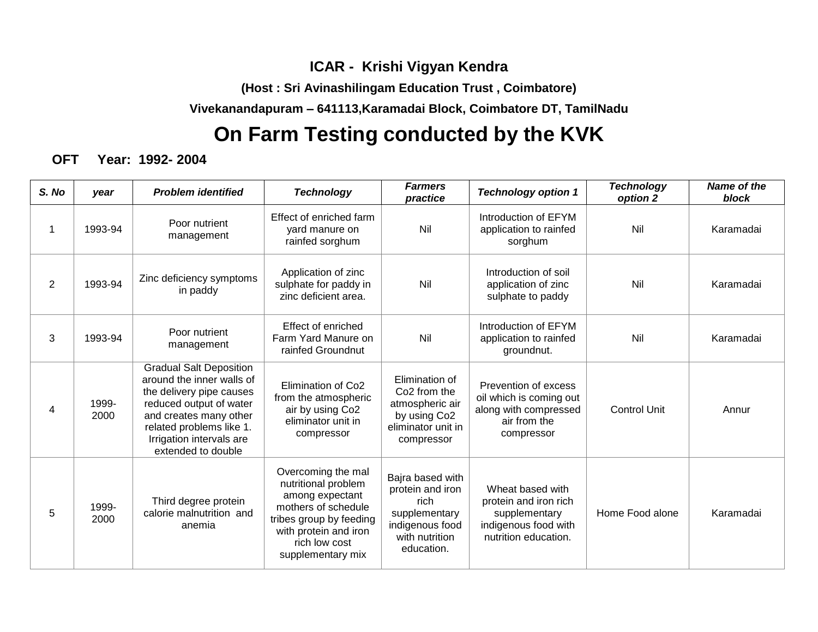## **ICAR - Krishi Vigyan Kendra**

**(Host : Sri Avinashilingam Education Trust , Coimbatore)**

**Vivekanandapuram – 641113,Karamadai Block, Coimbatore DT, TamilNadu**

# **On Farm Testing conducted by the KVK**

**OFT Year: 1992- 2004**

| S. No          | year          | <b>Problem identified</b>                                                                                                                                                                                                  | <b>Technology</b>                                                                                                                                                             | <b>Farmers</b><br>practice                                                                                                    | <b>Technology option 1</b>                                                                                 | <b>Technology</b><br>option 2 | <b>Name of the</b><br>block |
|----------------|---------------|----------------------------------------------------------------------------------------------------------------------------------------------------------------------------------------------------------------------------|-------------------------------------------------------------------------------------------------------------------------------------------------------------------------------|-------------------------------------------------------------------------------------------------------------------------------|------------------------------------------------------------------------------------------------------------|-------------------------------|-----------------------------|
| 1              | 1993-94       | Poor nutrient<br>management                                                                                                                                                                                                | Effect of enriched farm<br>vard manure on<br>rainfed sorghum                                                                                                                  | Nil                                                                                                                           | Introduction of EFYM<br>application to rainfed<br>sorghum                                                  | Nil                           | Karamadai                   |
| $\overline{2}$ | 1993-94       | Zinc deficiency symptoms<br>in paddy                                                                                                                                                                                       | Application of zinc<br>sulphate for paddy in<br>zinc deficient area.                                                                                                          | Nil                                                                                                                           | Introduction of soil<br>application of zinc<br>sulphate to paddy                                           | Nil                           | Karamadai                   |
| 3              | 1993-94       | Poor nutrient<br>management                                                                                                                                                                                                | Effect of enriched<br>Farm Yard Manure on<br>rainfed Groundnut                                                                                                                | Nil                                                                                                                           | Introduction of EFYM<br>application to rainfed<br>groundnut.                                               | Nil                           | Karamadai                   |
| 4              | 1999-<br>2000 | <b>Gradual Salt Deposition</b><br>around the inner walls of<br>the delivery pipe causes<br>reduced output of water<br>and creates many other<br>related problems like 1.<br>Irrigation intervals are<br>extended to double | Elimination of Co <sub>2</sub><br>from the atmospheric<br>air by using Co2<br>eliminator unit in<br>compressor                                                                | Elimination of<br>Co <sub>2</sub> from the<br>atmospheric air<br>by using Co <sub>2</sub><br>eliminator unit in<br>compressor | Prevention of excess<br>oil which is coming out<br>along with compressed<br>air from the<br>compressor     | <b>Control Unit</b>           | Annur                       |
| 5              | 1999-<br>2000 | Third degree protein<br>calorie malnutrition and<br>anemia                                                                                                                                                                 | Overcoming the mal<br>nutritional problem<br>among expectant<br>mothers of schedule<br>tribes group by feeding<br>with protein and iron<br>rich low cost<br>supplementary mix | Bajra based with<br>protein and iron<br>rich<br>supplementary<br>indigenous food<br>with nutrition<br>education.              | Wheat based with<br>protein and iron rich<br>supplementary<br>indigenous food with<br>nutrition education. | Home Food alone               | Karamadai                   |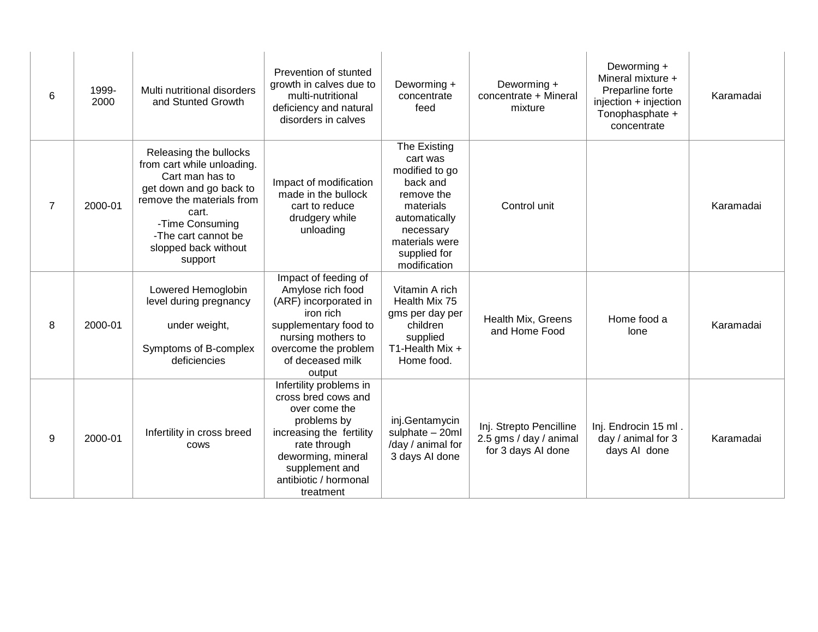| 6              | 1999-<br>2000 | Multi nutritional disorders<br>and Stunted Growth                                                                                                                                                                     | Prevention of stunted<br>growth in calves due to<br>multi-nutritional<br>deficiency and natural<br>disorders in calves                                                                                   | Deworming +<br>concentrate<br>feed                                                                                                                                | Deworming +<br>concentrate + Mineral<br>mixture                         | Deworming +<br>Mineral mixture +<br>Preparline forte<br>injection + injection<br>Tonophasphate +<br>concentrate | Karamadai |
|----------------|---------------|-----------------------------------------------------------------------------------------------------------------------------------------------------------------------------------------------------------------------|----------------------------------------------------------------------------------------------------------------------------------------------------------------------------------------------------------|-------------------------------------------------------------------------------------------------------------------------------------------------------------------|-------------------------------------------------------------------------|-----------------------------------------------------------------------------------------------------------------|-----------|
| $\overline{7}$ | 2000-01       | Releasing the bullocks<br>from cart while unloading.<br>Cart man has to<br>get down and go back to<br>remove the materials from<br>cart.<br>-Time Consuming<br>-The cart cannot be<br>slopped back without<br>support | Impact of modification<br>made in the bullock<br>cart to reduce<br>drudgery while<br>unloading                                                                                                           | The Existing<br>cart was<br>modified to go<br>back and<br>remove the<br>materials<br>automatically<br>necessary<br>materials were<br>supplied for<br>modification | Control unit                                                            |                                                                                                                 | Karamadai |
| 8              | 2000-01       | Lowered Hemoglobin<br>level during pregnancy<br>under weight,<br>Symptoms of B-complex<br>deficiencies                                                                                                                | Impact of feeding of<br>Amylose rich food<br>(ARF) incorporated in<br>iron rich<br>supplementary food to<br>nursing mothers to<br>overcome the problem<br>of deceased milk<br>output                     | Vitamin A rich<br>Health Mix 75<br>gms per day per<br>children<br>supplied<br>T1-Health Mix +<br>Home food.                                                       | Health Mix, Greens<br>and Home Food                                     | Home food a<br>lone                                                                                             | Karamadai |
| 9              | 2000-01       | Infertility in cross breed<br><b>COWS</b>                                                                                                                                                                             | Infertility problems in<br>cross bred cows and<br>over come the<br>problems by<br>increasing the fertility<br>rate through<br>deworming, mineral<br>supplement and<br>antibiotic / hormonal<br>treatment | inj.Gentamycin<br>sulphate - 20ml<br>/day / animal for<br>3 days AI done                                                                                          | Inj. Strepto Pencilline<br>2.5 gms / day / animal<br>for 3 days AI done | Inj. Endrocin 15 ml.<br>day / animal for 3<br>days AI done                                                      | Karamadai |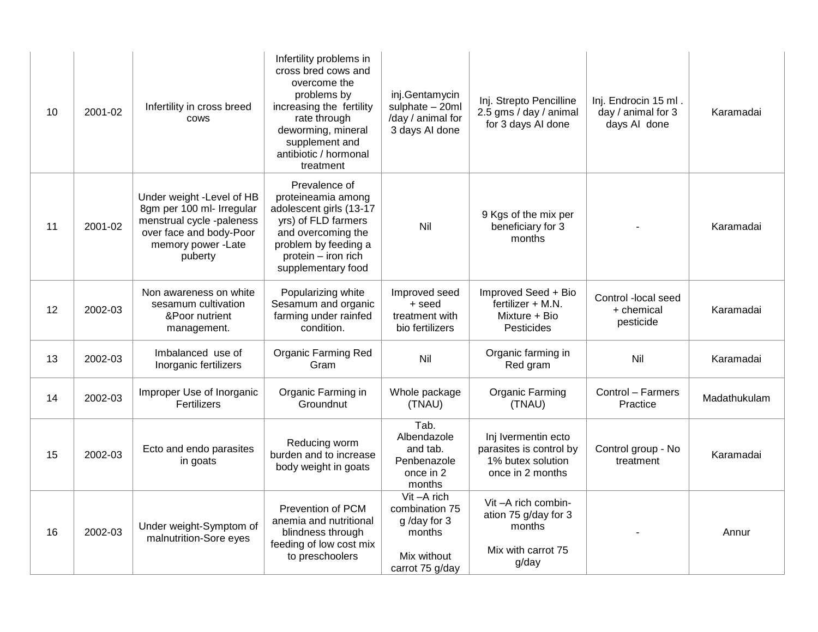| 10 | 2001-02 | Infertility in cross breed<br><b>COWS</b>                                                                                                       | Infertility problems in<br>cross bred cows and<br>overcome the<br>problems by<br>increasing the fertility<br>rate through<br>deworming, mineral<br>supplement and<br>antibiotic / hormonal<br>treatment | inj.Gentamycin<br>sulphate - 20ml<br>/day / animal for<br>3 days AI done                | Inj. Strepto Pencilline<br>2.5 gms / day / animal<br>for 3 days AI done                 | Inj. Endrocin 15 ml.<br>day / animal for 3<br>days AI done | Karamadai    |
|----|---------|-------------------------------------------------------------------------------------------------------------------------------------------------|---------------------------------------------------------------------------------------------------------------------------------------------------------------------------------------------------------|-----------------------------------------------------------------------------------------|-----------------------------------------------------------------------------------------|------------------------------------------------------------|--------------|
| 11 | 2001-02 | Under weight -Level of HB<br>8gm per 100 ml- Irregular<br>menstrual cycle -paleness<br>over face and body-Poor<br>memory power -Late<br>puberty | Prevalence of<br>proteineamia among<br>adolescent girls (13-17<br>yrs) of FLD farmers<br>and overcoming the<br>problem by feeding a<br>protein - iron rich<br>supplementary food                        | Nil                                                                                     | 9 Kgs of the mix per<br>beneficiary for 3<br>months                                     |                                                            | Karamadai    |
| 12 | 2002-03 | Non awareness on white<br>sesamum cultivation<br>&Poor nutrient<br>management.                                                                  | Popularizing white<br>Sesamum and organic<br>farming under rainfed<br>condition.                                                                                                                        | Improved seed<br>+ seed<br>treatment with<br>bio fertilizers                            | Improved Seed + Bio<br>fertilizer + M.N.<br>Mixture + Bio<br>Pesticides                 | Control -local seed<br>+ chemical<br>pesticide             | Karamadai    |
| 13 | 2002-03 | Imbalanced use of<br>Inorganic fertilizers                                                                                                      | <b>Organic Farming Red</b><br>Gram                                                                                                                                                                      | Nil                                                                                     | Organic farming in<br>Red gram                                                          | Nil                                                        | Karamadai    |
| 14 | 2002-03 | Improper Use of Inorganic<br>Fertilizers                                                                                                        | Organic Farming in<br>Groundnut                                                                                                                                                                         | Whole package<br>(TNAU)                                                                 | <b>Organic Farming</b><br>(TNAU)                                                        | Control - Farmers<br>Practice                              | Madathukulam |
| 15 | 2002-03 | Ecto and endo parasites<br>in goats                                                                                                             | Reducing worm<br>burden and to increase<br>body weight in goats                                                                                                                                         | Tab.<br>Albendazole<br>and tab.<br>Penbenazole<br>once in 2<br>months                   | Inj Ivermentin ecto<br>parasites is control by<br>1% butex solution<br>once in 2 months | Control group - No<br>treatment                            | Karamadai    |
| 16 | 2002-03 | Under weight-Symptom of<br>malnutrition-Sore eyes                                                                                               | Prevention of PCM<br>anemia and nutritional<br>blindness through<br>feeding of low cost mix<br>to preschoolers                                                                                          | Vit-A rich<br>combination 75<br>g/day for 3<br>months<br>Mix without<br>carrot 75 g/day | Vit-A rich combin-<br>ation 75 g/day for 3<br>months<br>Mix with carrot 75<br>g/day     |                                                            | Annur        |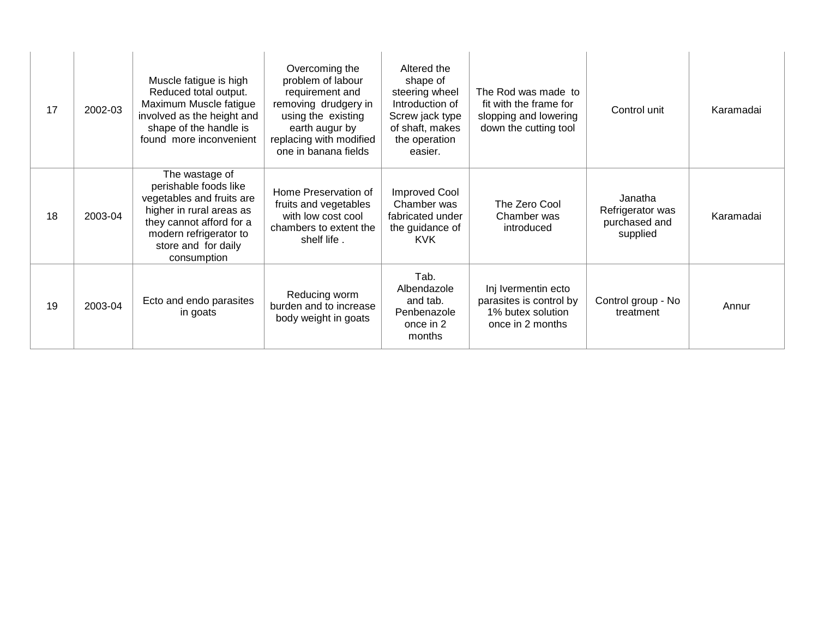| 17 | 2002-03 | Muscle fatigue is high<br>Reduced total output.<br>Maximum Muscle fatigue<br>involved as the height and<br>shape of the handle is<br>found more inconvenient                                 | Overcoming the<br>problem of labour<br>requirement and<br>removing drudgery in<br>using the existing<br>earth augur by<br>replacing with modified<br>one in banana fields | Altered the<br>shape of<br>steering wheel<br>Introduction of<br>Screw jack type<br>of shaft, makes<br>the operation<br>easier. | The Rod was made to<br>fit with the frame for<br>slopping and lowering<br>down the cutting tool | Control unit                                             | Karamadai |
|----|---------|----------------------------------------------------------------------------------------------------------------------------------------------------------------------------------------------|---------------------------------------------------------------------------------------------------------------------------------------------------------------------------|--------------------------------------------------------------------------------------------------------------------------------|-------------------------------------------------------------------------------------------------|----------------------------------------------------------|-----------|
| 18 | 2003-04 | The wastage of<br>perishable foods like<br>vegetables and fruits are<br>higher in rural areas as<br>they cannot afford for a<br>modern refrigerator to<br>store and for daily<br>consumption | Home Preservation of<br>fruits and vegetables<br>with low cost cool<br>chambers to extent the<br>shelf life.                                                              | <b>Improved Cool</b><br>Chamber was<br>fabricated under<br>the guidance of<br><b>KVK</b>                                       | The Zero Cool<br>Chamber was<br>introduced                                                      | Janatha<br>Refrigerator was<br>purchased and<br>supplied | Karamadai |
| 19 | 2003-04 | Ecto and endo parasites<br>in goats                                                                                                                                                          | Reducing worm<br>burden and to increase<br>body weight in goats                                                                                                           | Tab.<br>Albendazole<br>and tab.<br>Penbenazole<br>once in 2<br>months                                                          | Inj Ivermentin ecto<br>parasites is control by<br>1% butex solution<br>once in 2 months         | Control group - No<br>treatment                          | Annur     |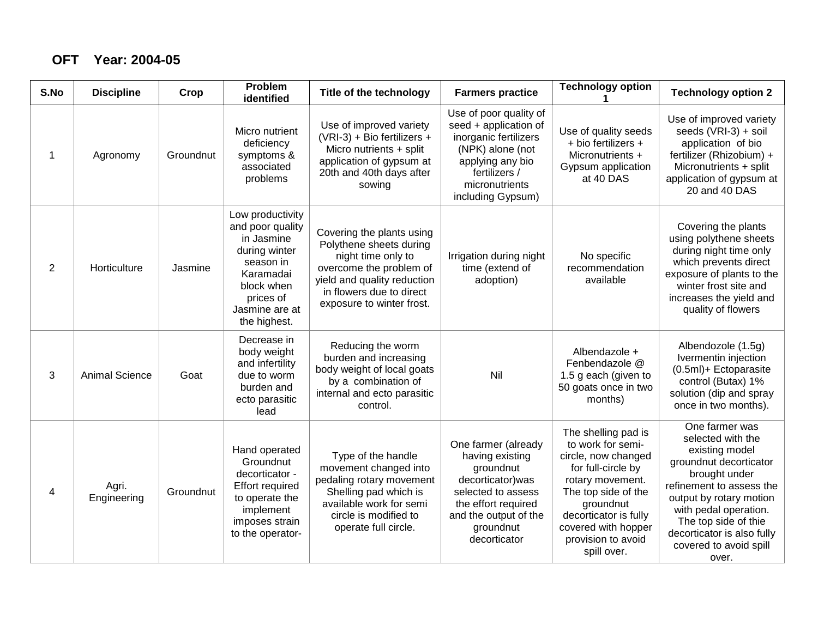#### **OFT Year: 2004-05**

| S.No        | <b>Discipline</b>     | Crop      | Problem<br>identified                                                                                                                                      | Title of the technology                                                                                                                                                                       | <b>Farmers practice</b>                                                                                                                                                     | <b>Technology option</b>                                                                                                                                                                                                           | <b>Technology option 2</b>                                                                                                                                                                                                                                                |
|-------------|-----------------------|-----------|------------------------------------------------------------------------------------------------------------------------------------------------------------|-----------------------------------------------------------------------------------------------------------------------------------------------------------------------------------------------|-----------------------------------------------------------------------------------------------------------------------------------------------------------------------------|------------------------------------------------------------------------------------------------------------------------------------------------------------------------------------------------------------------------------------|---------------------------------------------------------------------------------------------------------------------------------------------------------------------------------------------------------------------------------------------------------------------------|
| $\mathbf 1$ | Agronomy              | Groundnut | Micro nutrient<br>deficiency<br>symptoms &<br>associated<br>problems                                                                                       | Use of improved variety<br>(VRI-3) + Bio fertilizers +<br>Micro nutrients + split<br>application of gypsum at<br>20th and 40th days after<br>sowing                                           | Use of poor quality of<br>seed + application of<br>inorganic fertilizers<br>(NPK) alone (not<br>applying any bio<br>fertilizers /<br>micronutrients<br>including Gypsum)    | Use of quality seeds<br>+ bio fertilizers +<br>Micronutrients +<br>Gypsum application<br>at 40 DAS                                                                                                                                 | Use of improved variety<br>seeds (VRI-3) + soil<br>application of bio<br>fertilizer (Rhizobium) +<br>Micronutrients + split<br>application of gypsum at<br>20 and 40 DAS                                                                                                  |
| 2           | Horticulture          | Jasmine   | Low productivity<br>and poor quality<br>in Jasmine<br>during winter<br>season in<br>Karamadai<br>block when<br>prices of<br>Jasmine are at<br>the highest. | Covering the plants using<br>Polythene sheets during<br>night time only to<br>overcome the problem of<br>yield and quality reduction<br>in flowers due to direct<br>exposure to winter frost. | Irrigation during night<br>time (extend of<br>adoption)                                                                                                                     | No specific<br>recommendation<br>available                                                                                                                                                                                         | Covering the plants<br>using polythene sheets<br>during night time only<br>which prevents direct<br>exposure of plants to the<br>winter frost site and<br>increases the yield and<br>quality of flowers                                                                   |
| 3           | <b>Animal Science</b> | Goat      | Decrease in<br>body weight<br>and infertility<br>due to worm<br>burden and<br>ecto parasitic<br>lead                                                       | Reducing the worm<br>burden and increasing<br>body weight of local goats<br>by a combination of<br>internal and ecto parasitic<br>control.                                                    | Nil                                                                                                                                                                         | Albendazole +<br>Fenbendazole @<br>1.5 g each (given to<br>50 goats once in two<br>months)                                                                                                                                         | Albendozole (1.5g)<br>Ivermentin injection<br>(0.5ml)+ Ectoparasite<br>control (Butax) 1%<br>solution (dip and spray<br>once in two months).                                                                                                                              |
| 4           | Agri.<br>Engineering  | Groundnut | Hand operated<br>Groundnut<br>decorticator -<br><b>Effort required</b><br>to operate the<br>implement<br>imposes strain<br>to the operator-                | Type of the handle<br>movement changed into<br>pedaling rotary movement<br>Shelling pad which is<br>available work for semi<br>circle is modified to<br>operate full circle.                  | One farmer (already<br>having existing<br>groundnut<br>decorticator) was<br>selected to assess<br>the effort required<br>and the output of the<br>groundnut<br>decorticator | The shelling pad is<br>to work for semi-<br>circle, now changed<br>for full-circle by<br>rotary movement.<br>The top side of the<br>groundnut<br>decorticator is fully<br>covered with hopper<br>provision to avoid<br>spill over. | One farmer was<br>selected with the<br>existing model<br>groundnut decorticator<br>brought under<br>refinement to assess the<br>output by rotary motion<br>with pedal operation.<br>The top side of thie<br>decorticator is also fully<br>covered to avoid spill<br>over. |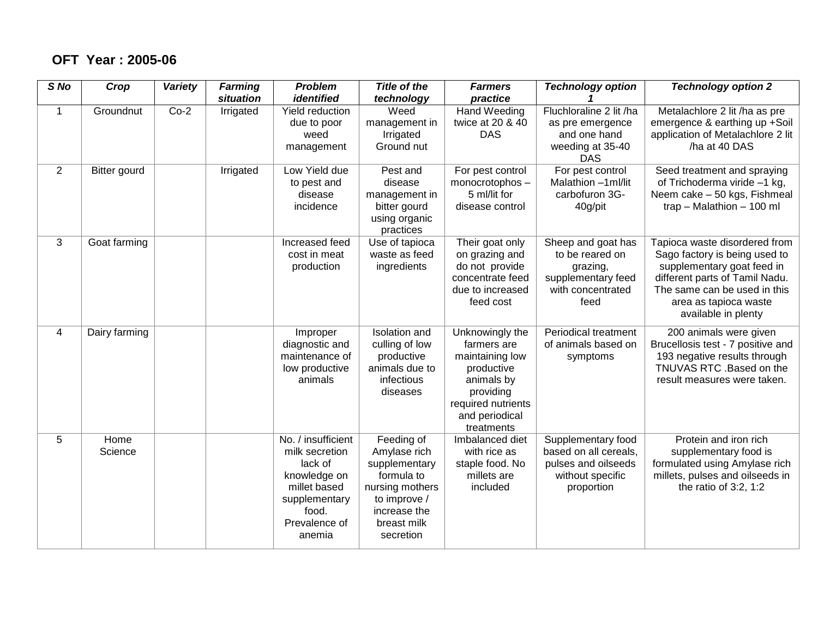#### **OFT Year : 2005-06**

| S No           | Crop                | Variety | <b>Farming</b><br>situation | <b>Problem</b><br>identified                                                                                                         | <b>Title of the</b><br>technology                                                                                                        | <b>Farmers</b><br>practice                                                                                                                       | <b>Technology option</b>                                                                             | <b>Technology option 2</b>                                                                                                                                                                                     |
|----------------|---------------------|---------|-----------------------------|--------------------------------------------------------------------------------------------------------------------------------------|------------------------------------------------------------------------------------------------------------------------------------------|--------------------------------------------------------------------------------------------------------------------------------------------------|------------------------------------------------------------------------------------------------------|----------------------------------------------------------------------------------------------------------------------------------------------------------------------------------------------------------------|
| $\mathbf{1}$   | Groundnut           | $Co-2$  | Irrigated                   | Yield reduction<br>due to poor<br>weed<br>management                                                                                 | Weed<br>management in<br>Irrigated<br>Ground nut                                                                                         | Hand Weeding<br>twice at 20 & 40<br><b>DAS</b>                                                                                                   | Fluchloraline 2 lit /ha<br>as pre emergence<br>and one hand<br>weeding at 35-40<br><b>DAS</b>        | Metalachlore 2 lit /ha as pre<br>emergence & earthing up +Soil<br>application of Metalachlore 2 lit<br>/ha at 40 DAS                                                                                           |
| $\overline{2}$ | <b>Bitter gourd</b> |         | Irrigated                   | Low Yield due<br>to pest and<br>disease<br>incidence                                                                                 | Pest and<br>disease<br>management in<br>bitter gourd<br>using organic<br>practices                                                       | For pest control<br>monocrotophos-<br>5 ml/lit for<br>disease control                                                                            | For pest control<br>Malathion -1 ml/lit<br>carbofuron 3G-<br>40g/pit                                 | Seed treatment and spraying<br>of Trichoderma viride -1 kg,<br>Neem cake - 50 kgs, Fishmeal<br>trap - Malathion - 100 ml                                                                                       |
| 3              | Goat farming        |         |                             | Increased feed<br>cost in meat<br>production                                                                                         | Use of tapioca<br>waste as feed<br>ingredients                                                                                           | Their goat only<br>on grazing and<br>do not provide<br>concentrate feed<br>due to increased<br>feed cost                                         | Sheep and goat has<br>to be reared on<br>grazing,<br>supplementary feed<br>with concentrated<br>feed | Tapioca waste disordered from<br>Sago factory is being used to<br>supplementary goat feed in<br>different parts of Tamil Nadu.<br>The same can be used in this<br>area as tapioca waste<br>available in plenty |
| 4              | Dairy farming       |         |                             | Improper<br>diagnostic and<br>maintenance of<br>low productive<br>animals                                                            | <b>Isolation</b> and<br>culling of low<br>productive<br>animals due to<br>infectious<br>diseases                                         | Unknowingly the<br>farmers are<br>maintaining low<br>productive<br>animals by<br>providing<br>required nutrients<br>and periodical<br>treatments | Periodical treatment<br>of animals based on<br>symptoms                                              | 200 animals were given<br>Brucellosis test - 7 positive and<br>193 negative results through<br>TNUVAS RTC . Based on the<br>result measures were taken.                                                        |
| 5              | Home<br>Science     |         |                             | No. / insufficient<br>milk secretion<br>lack of<br>knowledge on<br>millet based<br>supplementary<br>food.<br>Prevalence of<br>anemia | Feeding of<br>Amylase rich<br>supplementary<br>formula to<br>nursing mothers<br>to improve /<br>increase the<br>breast milk<br>secretion | Imbalanced diet<br>with rice as<br>staple food. No<br>millets are<br>included                                                                    | Supplementary food<br>based on all cereals,<br>pulses and oilseeds<br>without specific<br>proportion | Protein and iron rich<br>supplementary food is<br>formulated using Amylase rich<br>millets, pulses and oilseeds in<br>the ratio of $3:2, 1:2$                                                                  |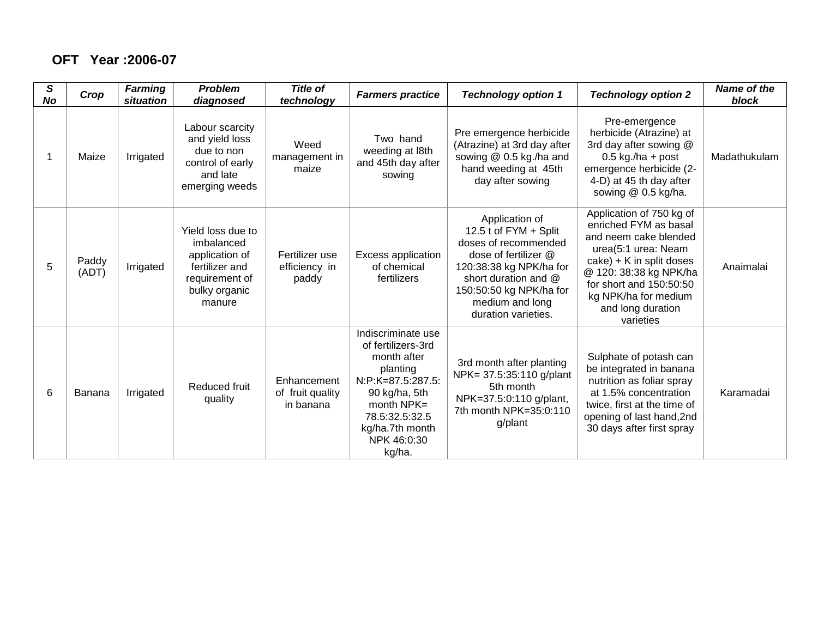#### **OFT Year :2006-07**

| S<br><b>No</b> | Crop           | <b>Farming</b><br>situation | <b>Problem</b><br>diagnosed                                                                                      | <b>Title of</b><br>technology                | <b>Farmers practice</b>                                                                                                                                                                 | <b>Technology option 1</b>                                                                                                                                                                                      | <b>Technology option 2</b>                                                                                                                                                                                                                       | <b>Name of the</b><br>block |
|----------------|----------------|-----------------------------|------------------------------------------------------------------------------------------------------------------|----------------------------------------------|-----------------------------------------------------------------------------------------------------------------------------------------------------------------------------------------|-----------------------------------------------------------------------------------------------------------------------------------------------------------------------------------------------------------------|--------------------------------------------------------------------------------------------------------------------------------------------------------------------------------------------------------------------------------------------------|-----------------------------|
|                | Maize          | Irrigated                   | Labour scarcity<br>and yield loss<br>due to non<br>control of early<br>and late<br>emerging weeds                | Weed<br>management in<br>maize               | Two hand<br>weeding at l8th<br>and 45th day after<br>sowing                                                                                                                             | Pre emergence herbicide<br>(Atrazine) at 3rd day after<br>sowing @ 0.5 kg./ha and<br>hand weeding at 45th<br>day after sowing                                                                                   | Pre-emergence<br>herbicide (Atrazine) at<br>3rd day after sowing @<br>$0.5$ kg./ha + post<br>emergence herbicide (2-<br>4-D) at 45 th day after<br>sowing @ 0.5 kg/ha.                                                                           | Madathukulam                |
| 5              | Paddy<br>(ADT) | Irrigated                   | Yield loss due to<br>imbalanced<br>application of<br>fertilizer and<br>requirement of<br>bulky organic<br>manure | Fertilizer use<br>efficiency in<br>paddy     | <b>Excess application</b><br>of chemical<br>fertilizers                                                                                                                                 | Application of<br>12.5 t of FYM + Split<br>doses of recommended<br>dose of fertilizer @<br>120:38:38 kg NPK/ha for<br>short duration and @<br>150:50:50 kg NPK/ha for<br>medium and long<br>duration varieties. | Application of 750 kg of<br>enriched FYM as basal<br>and neem cake blended<br>urea(5:1 urea: Neam<br>$\cake$ ) + K in split doses<br>@ 120: 38:38 kg NPK/ha<br>for short and 150:50:50<br>kg NPK/ha for medium<br>and long duration<br>varieties | Anaimalai                   |
| 6              | Banana         | Irrigated                   | Reduced fruit<br>quality                                                                                         | Enhancement<br>of fruit quality<br>in banana | Indiscriminate use<br>of fertilizers-3rd<br>month after<br>planting<br>N:P:K=87.5:287.5:<br>90 kg/ha, 5th<br>month $NPK=$<br>78.5:32.5:32.5<br>kg/ha.7th month<br>NPK 46:0:30<br>kg/ha. | 3rd month after planting<br>NPK= 37.5:35:110 g/plant<br>5th month<br>NPK=37.5:0:110 g/plant,<br>7th month NPK=35:0:110<br>g/plant                                                                               | Sulphate of potash can<br>be integrated in banana<br>nutrition as foliar spray<br>at 1.5% concentration<br>twice, first at the time of<br>opening of last hand, 2nd<br>30 days after first spray                                                 | Karamadai                   |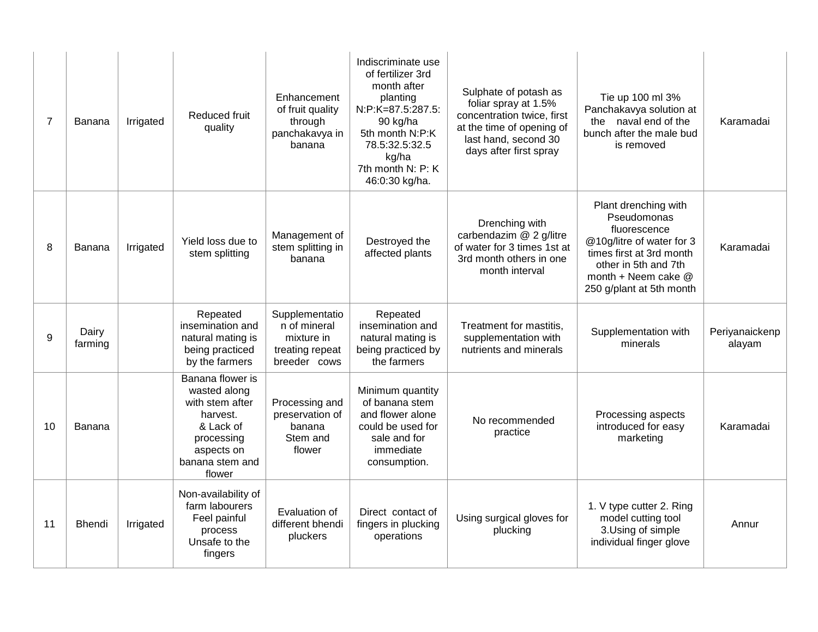| $\overline{7}$ | Banana           | Irrigated | Reduced fruit<br>quality                                                                                                              | Enhancement<br>of fruit quality<br>through<br>panchakavya in<br>banana          | Indiscriminate use<br>of fertilizer 3rd<br>month after<br>planting<br>N:P:K=87.5:287.5:<br>90 kg/ha<br>5th month N:P:K<br>78.5:32.5:32.5<br>kg/ha<br>7th month N: P: K<br>46:0:30 kg/ha. | Sulphate of potash as<br>foliar spray at 1.5%<br>concentration twice, first<br>at the time of opening of<br>last hand, second 30<br>days after first spray | Tie up 100 ml 3%<br>Panchakavya solution at<br>naval end of the<br>the<br>bunch after the male bud<br>is removed                                                                        | Karamadai                |
|----------------|------------------|-----------|---------------------------------------------------------------------------------------------------------------------------------------|---------------------------------------------------------------------------------|------------------------------------------------------------------------------------------------------------------------------------------------------------------------------------------|------------------------------------------------------------------------------------------------------------------------------------------------------------|-----------------------------------------------------------------------------------------------------------------------------------------------------------------------------------------|--------------------------|
| 8              | <b>Banana</b>    | Irrigated | Yield loss due to<br>stem splitting                                                                                                   | Management of<br>stem splitting in<br>banana                                    | Destroyed the<br>affected plants                                                                                                                                                         | Drenching with<br>carbendazim @ 2 g/litre<br>of water for 3 times 1st at<br>3rd month others in one<br>month interval                                      | Plant drenching with<br>Pseudomonas<br>fluorescence<br>@10g/litre of water for 3<br>times first at 3rd month<br>other in 5th and 7th<br>month + Neem cake @<br>250 g/plant at 5th month | Karamadai                |
| 9              | Dairy<br>farming |           | Repeated<br>insemination and<br>natural mating is<br>being practiced<br>by the farmers                                                | Supplementatio<br>n of mineral<br>mixture in<br>treating repeat<br>breeder cows | Repeated<br>insemination and<br>natural mating is<br>being practiced by<br>the farmers                                                                                                   | Treatment for mastitis,<br>supplementation with<br>nutrients and minerals                                                                                  | Supplementation with<br>minerals                                                                                                                                                        | Periyanaickenp<br>alayam |
| 10             | Banana           |           | Banana flower is<br>wasted along<br>with stem after<br>harvest.<br>& Lack of<br>processing<br>aspects on<br>banana stem and<br>flower | Processing and<br>preservation of<br>banana<br>Stem and<br>flower               | Minimum quantity<br>of banana stem<br>and flower alone<br>could be used for<br>sale and for<br>immediate<br>consumption.                                                                 | No recommended<br>practice                                                                                                                                 | Processing aspects<br>introduced for easy<br>marketing                                                                                                                                  | Karamadai                |
| 11             | <b>Bhendi</b>    | Irrigated | Non-availability of<br>farm labourers<br>Feel painful<br>process<br>Unsafe to the<br>fingers                                          | Evaluation of<br>different bhendi<br>pluckers                                   | Direct contact of<br>fingers in plucking<br>operations                                                                                                                                   | Using surgical gloves for<br>plucking                                                                                                                      | 1. V type cutter 2. Ring<br>model cutting tool<br>3. Using of simple<br>individual finger glove                                                                                         | Annur                    |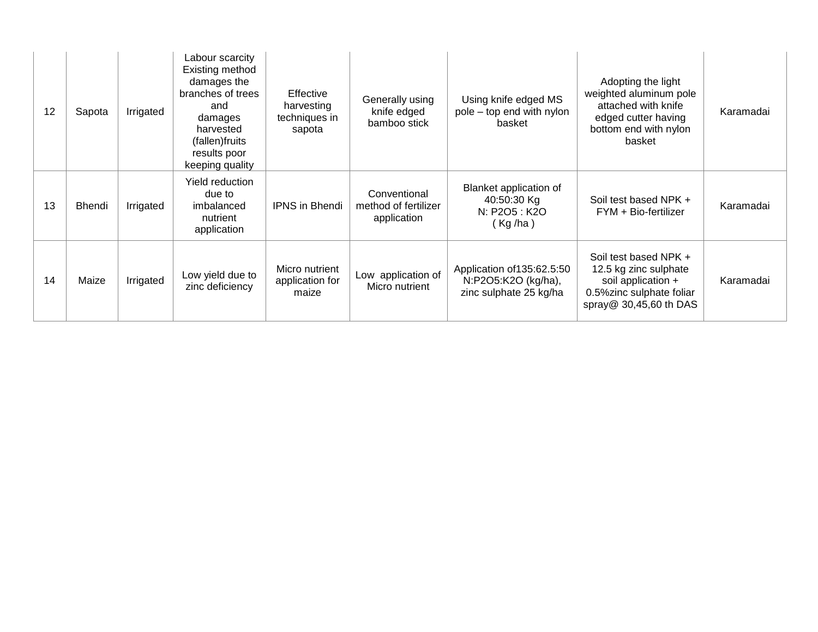| 12 | Sapota        | Irrigated | Labour scarcity<br>Existing method<br>damages the<br>branches of trees<br>and<br>damages<br>harvested<br>(fallen) fruits<br>results poor<br>keeping quality | <b>Effective</b><br>harvesting<br>techniques in<br>sapota | Generally using<br>knife edged<br>bamboo stick      | Using knife edged MS<br>pole – top end with nylon<br>basket                 | Adopting the light<br>weighted aluminum pole<br>attached with knife<br>edged cutter having<br>bottom end with nylon<br>basket | Karamadai |
|----|---------------|-----------|-------------------------------------------------------------------------------------------------------------------------------------------------------------|-----------------------------------------------------------|-----------------------------------------------------|-----------------------------------------------------------------------------|-------------------------------------------------------------------------------------------------------------------------------|-----------|
| 13 | <b>Bhendi</b> | Irrigated | Yield reduction<br>due to<br>imbalanced<br>nutrient<br>application                                                                                          | <b>IPNS</b> in Bhendi                                     | Conventional<br>method of fertilizer<br>application | Blanket application of<br>40:50:30 Kg<br>N: P2O5 : K2O<br>(Kg/ha)           | Soil test based NPK +<br>FYM + Bio-fertilizer                                                                                 | Karamadai |
| 14 | Maize         | Irrigated | Low yield due to<br>zinc deficiency                                                                                                                         | Micro nutrient<br>application for<br>maize                | Low application of<br>Micro nutrient                | Application of 135:62.5:50<br>N:P2O5:K2O (kg/ha),<br>zinc sulphate 25 kg/ha | Soil test based NPK +<br>12.5 kg zinc sulphate<br>soil application +<br>0.5%zinc sulphate foliar<br>spray@ 30,45,60 th DAS    | Karamadai |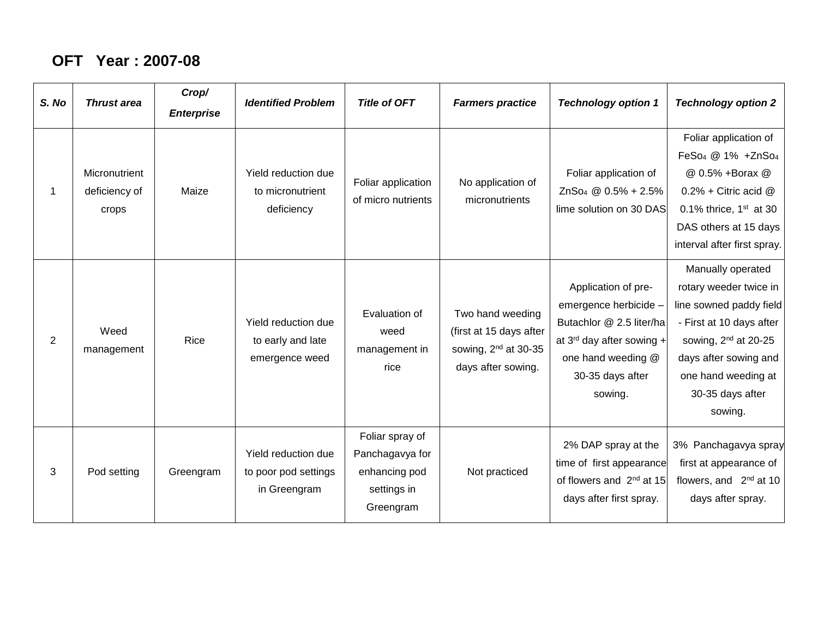### **OFT Year : 2007-08**

| S. No | <b>Thrust area</b>                      | Crop/<br><b>Enterprise</b> | <b>Identified Problem</b>                                   | <b>Title of OFT</b>                                                             | <b>Farmers practice</b>                                                                               | <b>Technology option 1</b>                                                                                                                                      | <b>Technology option 2</b>                                                                                                                                                                                            |
|-------|-----------------------------------------|----------------------------|-------------------------------------------------------------|---------------------------------------------------------------------------------|-------------------------------------------------------------------------------------------------------|-----------------------------------------------------------------------------------------------------------------------------------------------------------------|-----------------------------------------------------------------------------------------------------------------------------------------------------------------------------------------------------------------------|
|       | Micronutrient<br>deficiency of<br>crops | Maize                      | Yield reduction due<br>to micronutrient<br>deficiency       | Foliar application<br>of micro nutrients                                        | No application of<br>micronutrients                                                                   | Foliar application of<br>$ZnSo4 @ 0.5% + 2.5%$<br>lime solution on 30 DAS                                                                                       | Foliar application of<br>FeSo <sub>4</sub> @ 1% +ZnSo <sub>4</sub><br>@ 0.5% +Borax @<br>$0.2\%$ + Citric acid $@$<br>0.1% thrice, $1st$ at 30<br>DAS others at 15 days<br>interval after first spray.                |
| 2     | Weed<br>management                      | Rice                       | Yield reduction due<br>to early and late<br>emergence weed  | Evaluation of<br>weed<br>management in<br>rice                                  | Two hand weeding<br>(first at 15 days after<br>sowing, 2 <sup>nd</sup> at 30-35<br>days after sowing. | Application of pre-<br>emergence herbicide -<br>Butachlor @ 2.5 liter/ha<br>at $3^{rd}$ day after sowing +<br>one hand weeding @<br>30-35 days after<br>sowing. | Manually operated<br>rotary weeder twice in<br>line sowned paddy field<br>- First at 10 days after<br>sowing, 2 <sup>nd</sup> at 20-25<br>days after sowing and<br>one hand weeding at<br>30-35 days after<br>sowing. |
| 3     | Pod setting                             | Greengram                  | Yield reduction due<br>to poor pod settings<br>in Greengram | Foliar spray of<br>Panchagavya for<br>enhancing pod<br>settings in<br>Greengram | Not practiced                                                                                         | 2% DAP spray at the<br>time of first appearance<br>of flowers and 2 <sup>nd</sup> at 15<br>days after first spray.                                              | 3% Panchagavya spray<br>first at appearance of<br>flowers, and 2 <sup>nd</sup> at 10<br>days after spray.                                                                                                             |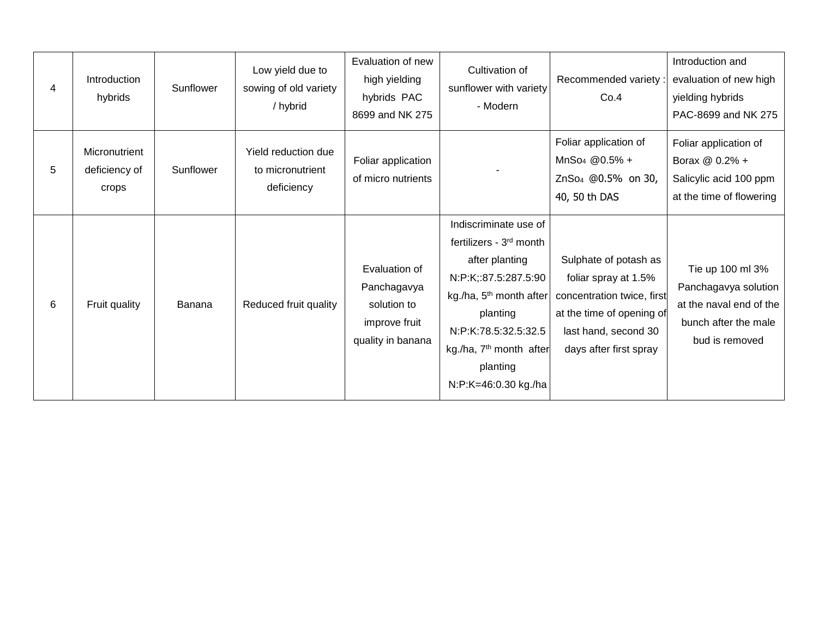| 4 | Introduction<br>hybrids                 | Sunflower | Low yield due to<br>sowing of old variety<br>/ hybrid | Evaluation of new<br>high yielding<br>hybrids PAC<br>8699 and NK 275              | Cultivation of<br>sunflower with variety<br>- Modern                                                                                                                                                                                                         | Recommended variety:<br>Co.4                                                                                                                               | Introduction and<br>evaluation of new high<br>yielding hybrids<br>PAC-8699 and NK 275                         |
|---|-----------------------------------------|-----------|-------------------------------------------------------|-----------------------------------------------------------------------------------|--------------------------------------------------------------------------------------------------------------------------------------------------------------------------------------------------------------------------------------------------------------|------------------------------------------------------------------------------------------------------------------------------------------------------------|---------------------------------------------------------------------------------------------------------------|
| 5 | Micronutrient<br>deficiency of<br>crops | Sunflower | Yield reduction due<br>to micronutrient<br>deficiency | Foliar application<br>of micro nutrients                                          |                                                                                                                                                                                                                                                              | Foliar application of<br>$MnSo4 @0.5% +$<br>ZnSo <sub>4</sub> @0.5% on 30,<br>40, 50 th DAS                                                                | Foliar application of<br>Borax @ 0.2% +<br>Salicylic acid 100 ppm<br>at the time of flowering                 |
| 6 | Fruit quality                           | Banana    | Reduced fruit quality                                 | Evaluation of<br>Panchagavya<br>solution to<br>improve fruit<br>quality in banana | Indiscriminate use of<br>fertilizers - 3 <sup>rd</sup> month<br>after planting<br>N:P:K;:87.5:287.5:90<br>kg./ha, 5 <sup>th</sup> month after<br>planting<br>N:P:K:78.5:32.5:32.5<br>kg./ha, 7 <sup>th</sup> month after<br>planting<br>N:P:K=46:0.30 kg./ha | Sulphate of potash as<br>foliar spray at 1.5%<br>concentration twice, first<br>at the time of opening of<br>last hand, second 30<br>days after first spray | Tie up 100 ml 3%<br>Panchagavya solution<br>at the naval end of the<br>bunch after the male<br>bud is removed |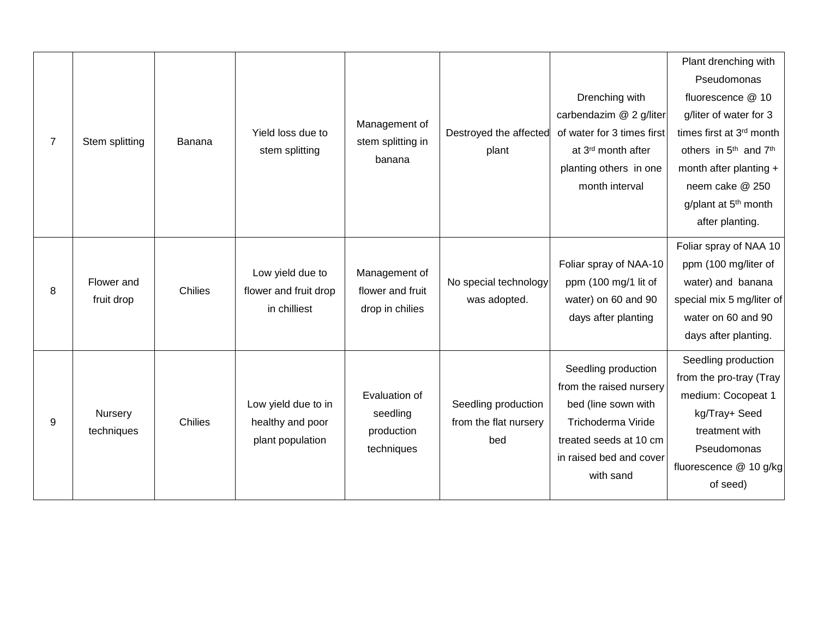| $\overline{7}$   | Stem splitting           | Banana         | Yield loss due to<br>stem splitting                         | Management of<br>stem splitting in<br>banana          | Destroyed the affected<br>plant                     | Drenching with<br>carbendazim @ 2 g/liter<br>of water for 3 times first<br>at 3rd month after<br>planting others in one<br>month interval                     | Plant drenching with<br>Pseudomonas<br>fluorescence @ 10<br>g/liter of water for 3<br>times first at 3rd month<br>others in 5 <sup>th</sup> and 7 <sup>th</sup><br>month after planting +<br>neem cake @ 250<br>g/plant at 5 <sup>th</sup> month<br>after planting. |
|------------------|--------------------------|----------------|-------------------------------------------------------------|-------------------------------------------------------|-----------------------------------------------------|---------------------------------------------------------------------------------------------------------------------------------------------------------------|---------------------------------------------------------------------------------------------------------------------------------------------------------------------------------------------------------------------------------------------------------------------|
| 8                | Flower and<br>fruit drop | <b>Chilies</b> | Low yield due to<br>flower and fruit drop<br>in chilliest   | Management of<br>flower and fruit<br>drop in chilies  | No special technology<br>was adopted.               | Foliar spray of NAA-10<br>ppm (100 mg/1 lit of<br>water) on 60 and 90<br>days after planting                                                                  | Foliar spray of NAA 10<br>ppm (100 mg/liter of<br>water) and banana<br>special mix 5 mg/liter of<br>water on 60 and 90<br>days after planting.                                                                                                                      |
| $\boldsymbol{9}$ | Nursery<br>techniques    | Chilies        | Low yield due to in<br>healthy and poor<br>plant population | Evaluation of<br>seedling<br>production<br>techniques | Seedling production<br>from the flat nursery<br>bed | Seedling production<br>from the raised nursery<br>bed (line sown with<br>Trichoderma Viride<br>treated seeds at 10 cm<br>in raised bed and cover<br>with sand | Seedling production<br>from the pro-tray (Tray<br>medium: Cocopeat 1<br>kg/Tray+ Seed<br>treatment with<br>Pseudomonas<br>fluorescence @ 10 g/kg<br>of seed)                                                                                                        |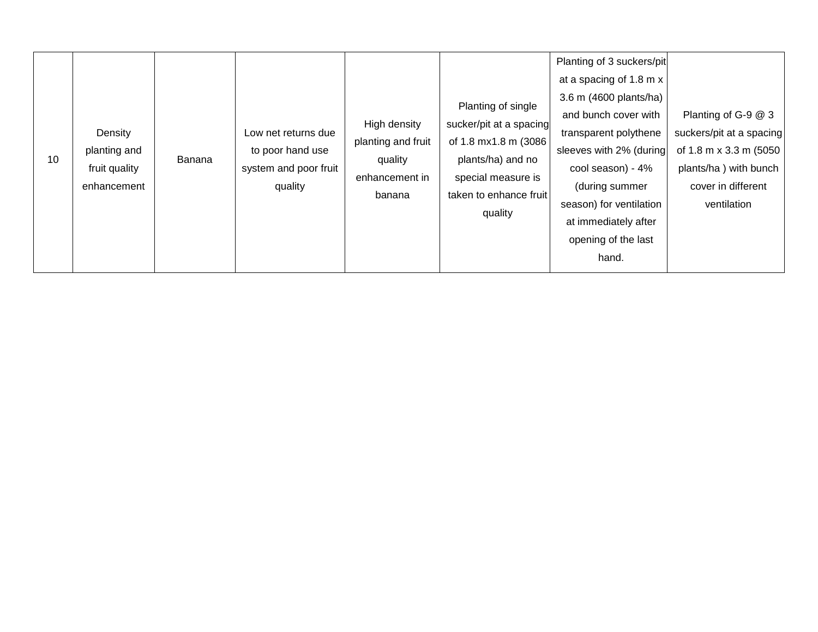| 10 | Density<br>planting and<br>fruit quality<br>enhancement | Banana | Low net returns due<br>to poor hand use<br>system and poor fruit<br>quality | High density<br>planting and fruit<br>quality<br>enhancement in<br>banana | Planting of single<br>sucker/pit at a spacing<br>of 1.8 mx1.8 m (3086<br>plants/ha) and no<br>special measure is<br>taken to enhance fruit<br>quality | Planting of 3 suckers/pit<br>at a spacing of 1.8 m x<br>3.6 m (4600 plants/ha)<br>and bunch cover with<br>transparent polythene<br>sleeves with 2% (during<br>cool season) - 4%<br>(during summer<br>season) for ventilation<br>at immediately after<br>opening of the last<br>hand. | Planting of G-9 @ 3<br>suckers/pit at a spacing<br>of 1.8 m x 3.3 m (5050<br>plants/ha) with bunch<br>cover in different<br>ventilation |
|----|---------------------------------------------------------|--------|-----------------------------------------------------------------------------|---------------------------------------------------------------------------|-------------------------------------------------------------------------------------------------------------------------------------------------------|--------------------------------------------------------------------------------------------------------------------------------------------------------------------------------------------------------------------------------------------------------------------------------------|-----------------------------------------------------------------------------------------------------------------------------------------|
|----|---------------------------------------------------------|--------|-----------------------------------------------------------------------------|---------------------------------------------------------------------------|-------------------------------------------------------------------------------------------------------------------------------------------------------|--------------------------------------------------------------------------------------------------------------------------------------------------------------------------------------------------------------------------------------------------------------------------------------|-----------------------------------------------------------------------------------------------------------------------------------------|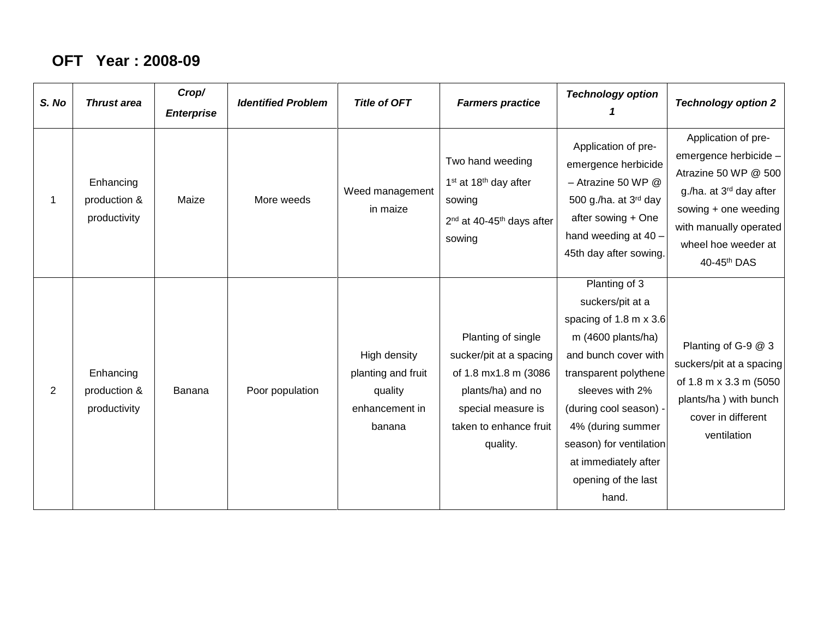### **OFT Year : 2008-09**

| S. No          | <b>Thrust area</b>                        | Crop/<br><b>Enterprise</b> | <b>Identified Problem</b> | <b>Title of OFT</b>                                                       | <b>Farmers practice</b>                                                                                                                                | <b>Technology option</b>                                                                                                                                                                                                                                                                                 | <b>Technology option 2</b>                                                                                                                                                                          |
|----------------|-------------------------------------------|----------------------------|---------------------------|---------------------------------------------------------------------------|--------------------------------------------------------------------------------------------------------------------------------------------------------|----------------------------------------------------------------------------------------------------------------------------------------------------------------------------------------------------------------------------------------------------------------------------------------------------------|-----------------------------------------------------------------------------------------------------------------------------------------------------------------------------------------------------|
|                | Enhancing<br>production &<br>productivity | Maize                      | More weeds                | Weed management<br>in maize                                               | Two hand weeding<br>1 <sup>st</sup> at 18 <sup>th</sup> day after<br>sowing<br>2 <sup>nd</sup> at 40-45 <sup>th</sup> days after<br>sowing             | Application of pre-<br>emergence herbicide<br>$-$ Atrazine 50 WP $@$<br>500 g./ha. at 3rd day<br>after sowing + One<br>hand weeding at 40 -<br>45th day after sowing.                                                                                                                                    | Application of pre-<br>emergence herbicide -<br>Atrazine 50 WP @ 500<br>g./ha. at 3 <sup>rd</sup> day after<br>sowing + one weeding<br>with manually operated<br>wheel hoe weeder at<br>40-45th DAS |
| $\overline{2}$ | Enhancing<br>production &<br>productivity | Banana                     | Poor population           | High density<br>planting and fruit<br>quality<br>enhancement in<br>banana | Planting of single<br>sucker/pit at a spacing<br>of 1.8 mx1.8 m (3086<br>plants/ha) and no<br>special measure is<br>taken to enhance fruit<br>quality. | Planting of 3<br>suckers/pit at a<br>spacing of $1.8 \text{ m} \times 3.6$<br>m $(4600$ plants/ha)<br>and bunch cover with<br>transparent polythene<br>sleeves with 2%<br>(during cool season) -<br>4% (during summer<br>season) for ventilation<br>at immediately after<br>opening of the last<br>hand. | Planting of G-9 @ 3<br>suckers/pit at a spacing<br>of 1.8 m x 3.3 m (5050<br>plants/ha) with bunch<br>cover in different<br>ventilation                                                             |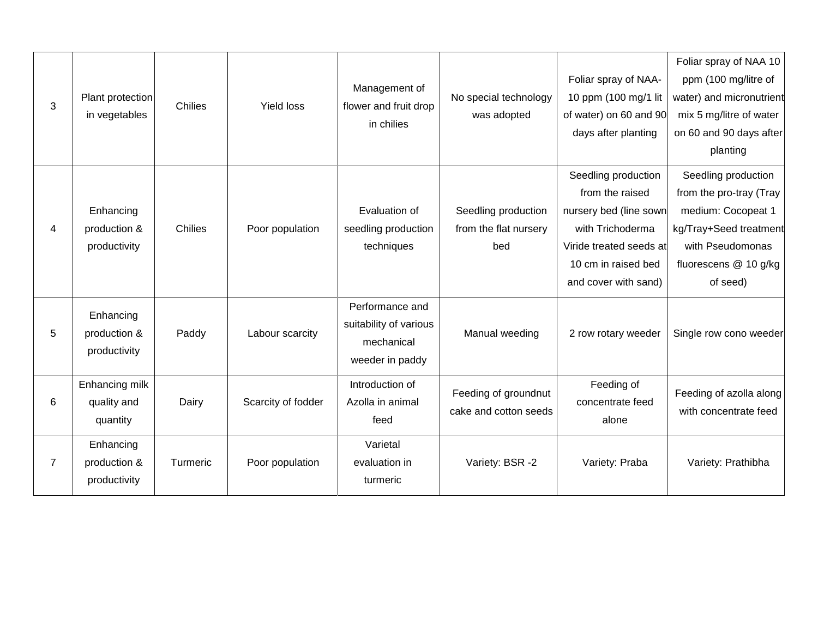| Foliar spray of NAA-<br>Management of<br>10 ppm (100 mg/1 lit<br>Plant protection<br>No special technology<br>3<br>Chilies<br><b>Yield loss</b><br>flower and fruit drop<br>in vegetables<br>of water) on 60 and 90<br>was adopted<br>in chilies<br>days after planting<br>Seedling production<br>from the raised<br>Seedling production<br>Enhancing<br>Evaluation of<br>nursery bed (line sown<br>4<br>Chilies<br>from the flat nursery<br>with Trichoderma<br>production &<br>Poor population<br>seedling production |                                                                                                                                                         |
|-------------------------------------------------------------------------------------------------------------------------------------------------------------------------------------------------------------------------------------------------------------------------------------------------------------------------------------------------------------------------------------------------------------------------------------------------------------------------------------------------------------------------|---------------------------------------------------------------------------------------------------------------------------------------------------------|
|                                                                                                                                                                                                                                                                                                                                                                                                                                                                                                                         | Foliar spray of NAA 10<br>ppm (100 mg/litre of<br>water) and micronutrient<br>mix 5 mg/litre of water<br>on 60 and 90 days after<br>planting            |
| techniques<br>productivity<br>bed<br>Viride treated seeds at<br>10 cm in raised bed<br>and cover with sand)                                                                                                                                                                                                                                                                                                                                                                                                             | Seedling production<br>from the pro-tray (Tray<br>medium: Cocopeat 1<br>kg/Tray+Seed treatment<br>with Pseudomonas<br>fluorescens @ 10 g/kg<br>of seed) |
| Performance and<br>Enhancing<br>suitability of various<br>5<br>Labour scarcity<br>Manual weeding<br>2 row rotary weeder<br>production &<br>Paddy<br>mechanical<br>productivity<br>weeder in paddy                                                                                                                                                                                                                                                                                                                       | Single row cono weeder                                                                                                                                  |
| Enhancing milk<br>Introduction of<br>Feeding of<br>Feeding of groundnut<br>6<br>Scarcity of fodder<br>quality and<br>Dairy<br>Azolla in animal<br>concentrate feed<br>cake and cotton seeds<br>quantity<br>feed<br>alone                                                                                                                                                                                                                                                                                                | Feeding of azolla along<br>with concentrate feed                                                                                                        |
| Varietal<br>Enhancing<br>$\overline{7}$<br>Poor population<br>Variety: BSR -2<br>production &<br>Turmeric<br>Variety: Praba<br>evaluation in<br>productivity<br>turmeric                                                                                                                                                                                                                                                                                                                                                | Variety: Prathibha                                                                                                                                      |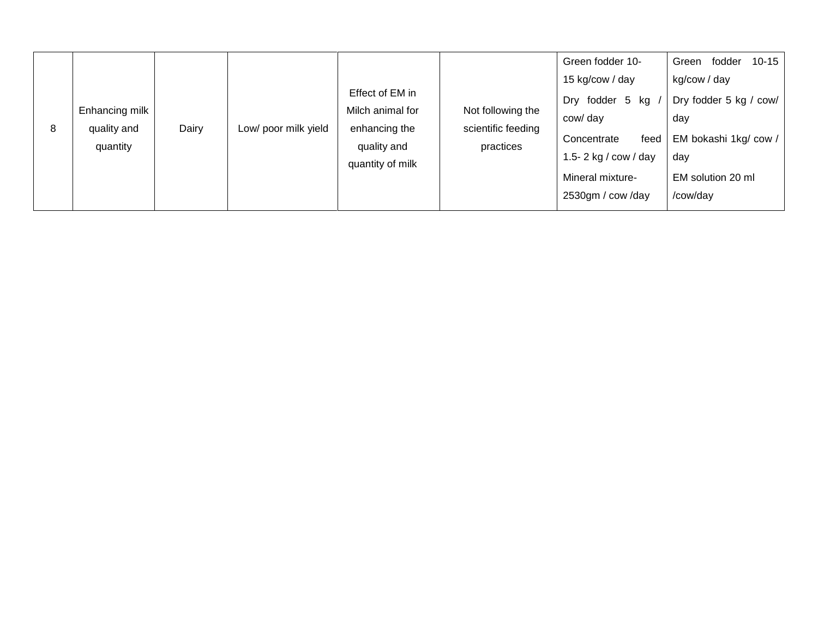| 8 | Enhancing milk<br>quality and<br>quantity | Dairy | Low/ poor milk yield | Effect of EM in<br>Milch animal for<br>enhancing the<br>quality and<br>quantity of milk | Not following the<br>scientific feeding<br>practices | Green fodder 10-<br>15 kg/cow / day<br>fodder 5 kg<br>Dry<br>cow/ day<br>Concentrate<br>feed  <br>1.5-2 kg / $row / day$<br>Mineral mixture-<br>2530gm / cow /day | $10 - 15$<br>Green<br>fodder<br>kg/cow / day<br>Dry fodder 5 kg / cow/<br>day<br>EM bokashi 1kg/ cow /<br>day<br>EM solution 20 ml<br>/cow/day |
|---|-------------------------------------------|-------|----------------------|-----------------------------------------------------------------------------------------|------------------------------------------------------|-------------------------------------------------------------------------------------------------------------------------------------------------------------------|------------------------------------------------------------------------------------------------------------------------------------------------|
|---|-------------------------------------------|-------|----------------------|-----------------------------------------------------------------------------------------|------------------------------------------------------|-------------------------------------------------------------------------------------------------------------------------------------------------------------------|------------------------------------------------------------------------------------------------------------------------------------------------|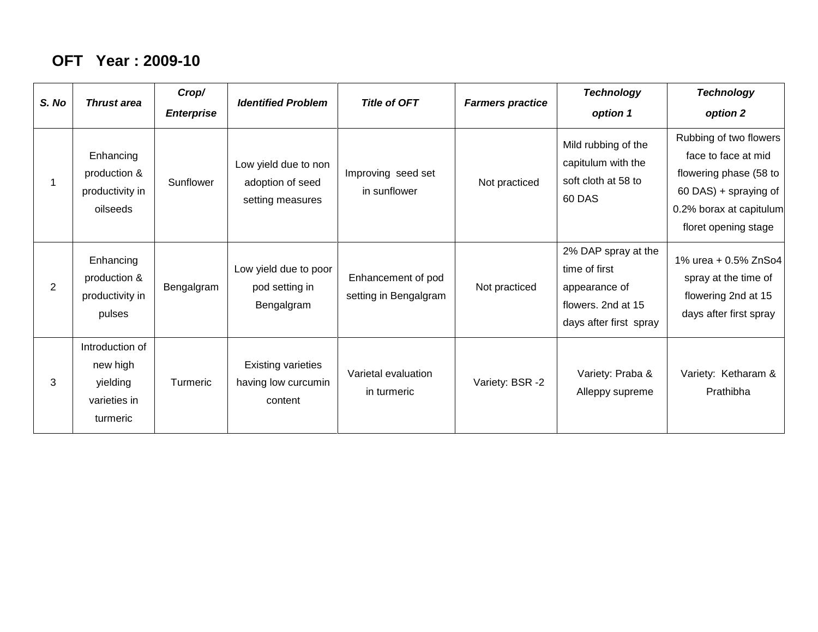#### **OFT Year : 2009-10**

| S. No | <b>Thrust area</b>                                                  | Crop/<br><b>Enterprise</b> | <b>Identified Problem</b>                                    | <b>Title of OFT</b>                         | <b>Farmers practice</b> | <b>Technology</b><br>option 1                                                                         | <b>Technology</b><br>option 2                                                                                                                       |
|-------|---------------------------------------------------------------------|----------------------------|--------------------------------------------------------------|---------------------------------------------|-------------------------|-------------------------------------------------------------------------------------------------------|-----------------------------------------------------------------------------------------------------------------------------------------------------|
|       | Enhancing<br>production &<br>productivity in<br>oilseeds            | Sunflower                  | Low yield due to non<br>adoption of seed<br>setting measures | Improving seed set<br>in sunflower          | Not practiced           | Mild rubbing of the<br>capitulum with the<br>soft cloth at 58 to<br>60 DAS                            | Rubbing of two flowers<br>face to face at mid<br>flowering phase (58 to<br>60 DAS) + spraying of<br>0.2% borax at capitulum<br>floret opening stage |
| 2     | Enhancing<br>production &<br>productivity in<br>pulses              | Bengalgram                 | Low yield due to poor<br>pod setting in<br>Bengalgram        | Enhancement of pod<br>setting in Bengalgram | Not practiced           | 2% DAP spray at the<br>time of first<br>appearance of<br>flowers. 2nd at 15<br>days after first spray | 1% urea + 0.5% ZnSo4<br>spray at the time of<br>flowering 2nd at 15<br>days after first spray                                                       |
| 3     | Introduction of<br>new high<br>yielding<br>varieties in<br>turmeric | <b>Turmeric</b>            | <b>Existing varieties</b><br>having low curcumin<br>content  | Varietal evaluation<br>in turmeric          | Variety: BSR -2         | Variety: Praba &<br>Alleppy supreme                                                                   | Variety: Ketharam &<br>Prathibha                                                                                                                    |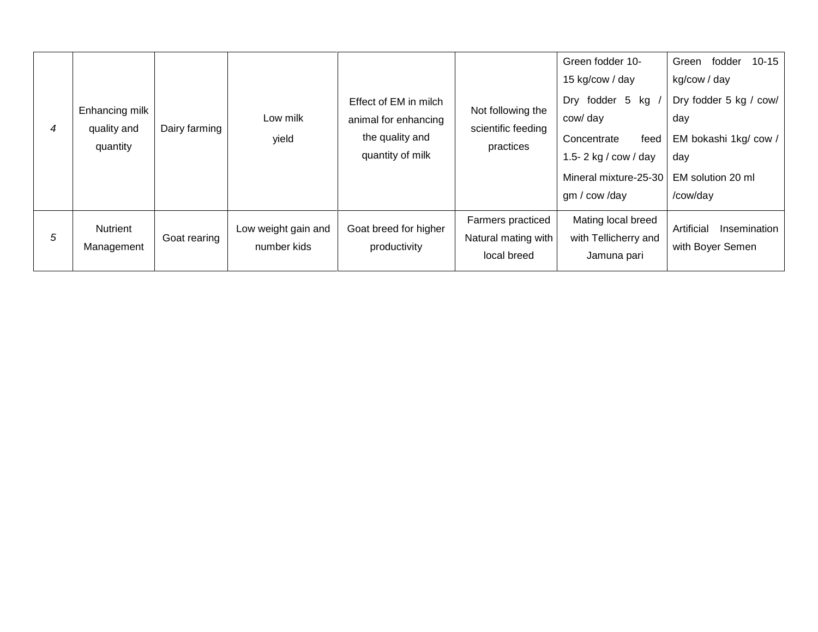| 4 | Enhancing milk<br>quality and<br>quantity | Dairy farming | Low milk<br>yield                  | Effect of EM in milch<br>animal for enhancing<br>the quality and<br>quantity of milk | Not following the<br>scientific feeding<br>practices    | Green fodder 10-<br>15 kg/cow / day<br>Dry fodder 5 kg<br>cow/ day<br>Concentrate<br>feed<br>1.5- $2$ kg / cow / day<br>Mineral mixture-25-30<br>gm / cow /day | $10 - 15$<br>Green<br>fodder<br>kg/cow / day<br>Dry fodder 5 kg / cow/<br>day<br>EM bokashi 1kg/ cow /<br>day<br>EM solution 20 ml<br>/cow/day |
|---|-------------------------------------------|---------------|------------------------------------|--------------------------------------------------------------------------------------|---------------------------------------------------------|----------------------------------------------------------------------------------------------------------------------------------------------------------------|------------------------------------------------------------------------------------------------------------------------------------------------|
| 5 | Nutrient<br>Management                    | Goat rearing  | Low weight gain and<br>number kids | Goat breed for higher<br>productivity                                                | Farmers practiced<br>Natural mating with<br>local breed | Mating local breed<br>with Tellicherry and<br>Jamuna pari                                                                                                      | Artificial<br>Insemination<br>with Boyer Semen                                                                                                 |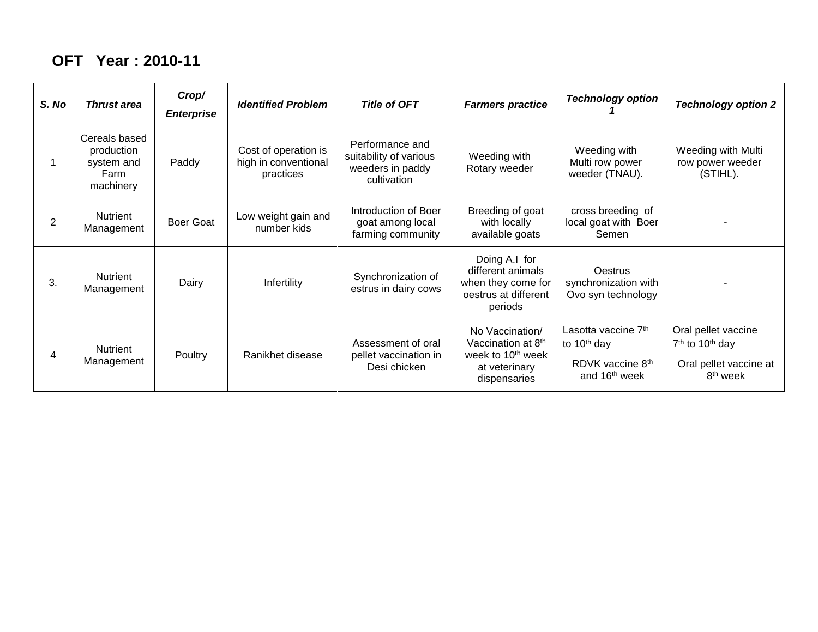#### **OFT Year : 2010-11**

| S. No | <b>Thrust area</b>                                             | Crop/<br><b>Enterprise</b> | <b>Identified Problem</b>                                 | <b>Title of OFT</b>                                                          | <b>Farmers practice</b>                                                                                 | <b>Technology option</b>                                                                                    | <b>Technology option 2</b>                                                                                       |
|-------|----------------------------------------------------------------|----------------------------|-----------------------------------------------------------|------------------------------------------------------------------------------|---------------------------------------------------------------------------------------------------------|-------------------------------------------------------------------------------------------------------------|------------------------------------------------------------------------------------------------------------------|
|       | Cereals based<br>production<br>system and<br>Farm<br>machinery | Paddy                      | Cost of operation is<br>high in conventional<br>practices | Performance and<br>suitability of various<br>weeders in paddy<br>cultivation | Weeding with<br>Rotary weeder                                                                           | Weeding with<br>Multi row power<br>weeder (TNAU).                                                           | Weeding with Multi<br>row power weeder<br>(STIHL).                                                               |
| 2     | Nutrient<br>Management                                         | <b>Boer Goat</b>           | Low weight gain and<br>number kids                        | Introduction of Boer<br>goat among local<br>farming community                | Breeding of goat<br>with locally<br>available goats                                                     | cross breeding of<br>local goat with Boer<br>Semen                                                          |                                                                                                                  |
| 3.    | <b>Nutrient</b><br>Management                                  | Dairy                      | Infertility                                               | Synchronization of<br>estrus in dairy cows                                   | Doing A.I for<br>different animals<br>when they come for<br>oestrus at different<br>periods             | <b>Oestrus</b><br>synchronization with<br>Ovo syn technology                                                |                                                                                                                  |
| 4     | <b>Nutrient</b><br>Management                                  | Poultry                    | Ranikhet disease                                          | Assessment of oral<br>pellet vaccination in<br>Desi chicken                  | No Vaccination/<br>Vaccination at 8th<br>week to 10 <sup>th</sup> week<br>at veterinary<br>dispensaries | Lasotta vaccine 7 <sup>th</sup><br>to 10 <sup>th</sup> day<br>RDVK vaccine 8th<br>and 16 <sup>th</sup> week | Oral pellet vaccine<br>7 <sup>th</sup> to 10 <sup>th</sup> day<br>Oral pellet vaccine at<br>8 <sup>th</sup> week |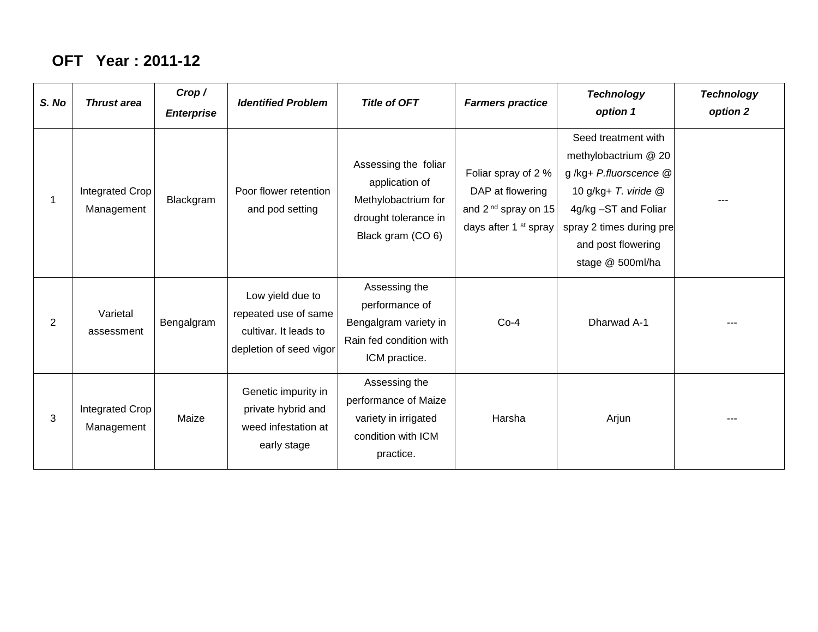### **OFT Year : 2011-12**

| S. No | <b>Thrust area</b>            | Crop/<br><b>Enterprise</b> | <b>Identified Problem</b>                                                                    | <b>Title of OFT</b>                                                                                        | <b>Farmers practice</b>                                                                              | <b>Technology</b><br>option 1                                                                                                                                                              | <b>Technology</b><br>option 2 |
|-------|-------------------------------|----------------------------|----------------------------------------------------------------------------------------------|------------------------------------------------------------------------------------------------------------|------------------------------------------------------------------------------------------------------|--------------------------------------------------------------------------------------------------------------------------------------------------------------------------------------------|-------------------------------|
|       | Integrated Crop<br>Management | Blackgram                  | Poor flower retention<br>and pod setting                                                     | Assessing the foliar<br>application of<br>Methylobactrium for<br>drought tolerance in<br>Black gram (CO 6) | Foliar spray of 2 %<br>DAP at flowering<br>and $2nd$ spray on 15<br>days after 1 <sup>st</sup> spray | Seed treatment with<br>methylobactrium @ 20<br>g/kg+ P.fluorscence @<br>10 g/kg+ T. viride @<br>4g/kg -ST and Foliar<br>spray 2 times during pre<br>and post flowering<br>stage @ 500ml/ha |                               |
| 2     | Varietal<br>assessment        | Bengalgram                 | Low yield due to<br>repeated use of same<br>cultivar. It leads to<br>depletion of seed vigor | Assessing the<br>performance of<br>Bengalgram variety in<br>Rain fed condition with<br>ICM practice.       | $Co-4$                                                                                               | Dharwad A-1                                                                                                                                                                                |                               |
| 3     | Integrated Crop<br>Management | Maize                      | Genetic impurity in<br>private hybrid and<br>weed infestation at<br>early stage              | Assessing the<br>performance of Maize<br>variety in irrigated<br>condition with ICM<br>practice.           | Harsha                                                                                               | Arjun                                                                                                                                                                                      | $- - -$                       |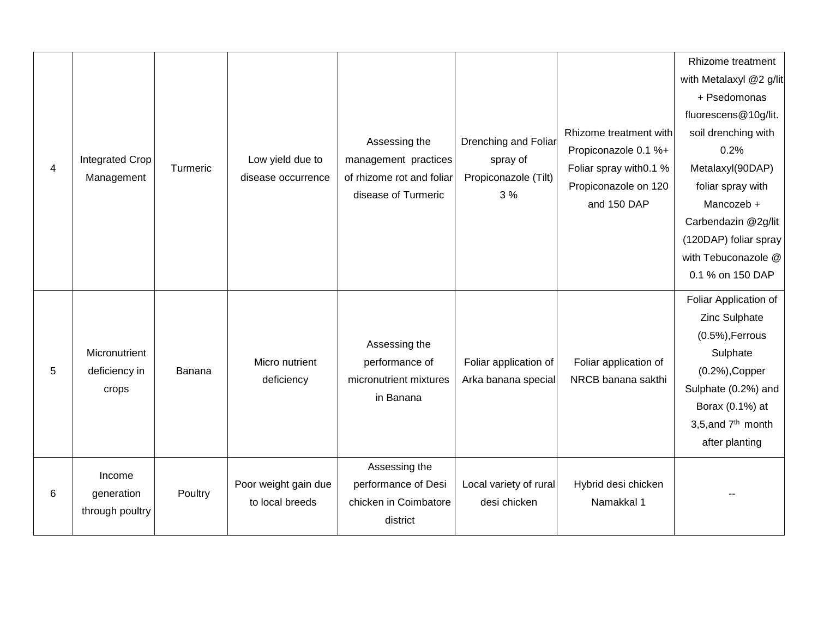|                |                                      |          |                                        |                                                   |                                  |                         | Rhizome treatment              |
|----------------|--------------------------------------|----------|----------------------------------------|---------------------------------------------------|----------------------------------|-------------------------|--------------------------------|
|                |                                      |          |                                        |                                                   |                                  |                         | with Metalaxyl @2 g/lit        |
|                |                                      |          |                                        |                                                   |                                  |                         | + Psedomonas                   |
|                |                                      |          |                                        |                                                   | <b>Drenching and Foliar</b>      |                         | fluorescens@10g/lit.           |
|                |                                      |          |                                        |                                                   |                                  | Rhizome treatment with  | soil drenching with            |
|                |                                      |          |                                        | Assessing the                                     |                                  | Propiconazole 0.1 %+    | 0.2%                           |
| $\overline{4}$ | <b>Integrated Crop</b><br>Management | Turmeric | Low yield due to<br>disease occurrence | management practices<br>of rhizome rot and foliar | spray of<br>Propiconazole (Tilt) | Foliar spray with 0.1 % | Metalaxyl(90DAP)               |
|                |                                      |          |                                        | disease of Turmeric                               | 3%                               | Propiconazole on 120    | foliar spray with              |
|                |                                      |          |                                        |                                                   |                                  | and 150 DAP             | Mancozeb +                     |
|                |                                      |          |                                        |                                                   |                                  |                         | Carbendazin @2g/lit            |
|                |                                      |          |                                        |                                                   |                                  |                         | (120DAP) foliar spray          |
|                |                                      |          |                                        |                                                   |                                  |                         | with Tebuconazole @            |
|                |                                      |          |                                        |                                                   |                                  |                         | 0.1 % on 150 DAP               |
|                |                                      |          |                                        |                                                   |                                  |                         | Foliar Application of          |
|                |                                      |          | Micro nutrient                         | Assessing the<br>performance of                   | Foliar application of            |                         | Zinc Sulphate                  |
|                |                                      |          |                                        |                                                   |                                  |                         | $(0.5\%)$ , Ferrous            |
|                | Micronutrient                        |          |                                        |                                                   |                                  | Foliar application of   | Sulphate                       |
| 5              | deficiency in                        | Banana   | deficiency                             | micronutrient mixtures                            | Arka banana special              | NRCB banana sakthi      | $(0.2%)$ , Copper              |
|                | crops                                |          |                                        | in Banana                                         |                                  |                         | Sulphate (0.2%) and            |
|                |                                      |          |                                        |                                                   |                                  |                         | Borax (0.1%) at                |
|                |                                      |          |                                        |                                                   |                                  |                         | 3,5, and 7 <sup>th</sup> month |
|                |                                      |          |                                        |                                                   |                                  |                         | after planting                 |
|                | Income                               |          |                                        | Assessing the                                     |                                  |                         |                                |
| 6              | generation<br>through poultry        | Poultry  | Poor weight gain due                   | performance of Desi                               | Local variety of rural           | Hybrid desi chicken     |                                |
|                |                                      |          | to local breeds                        | chicken in Coimbatore                             | desi chicken                     | Namakkal 1              |                                |
|                |                                      |          |                                        | district                                          |                                  |                         |                                |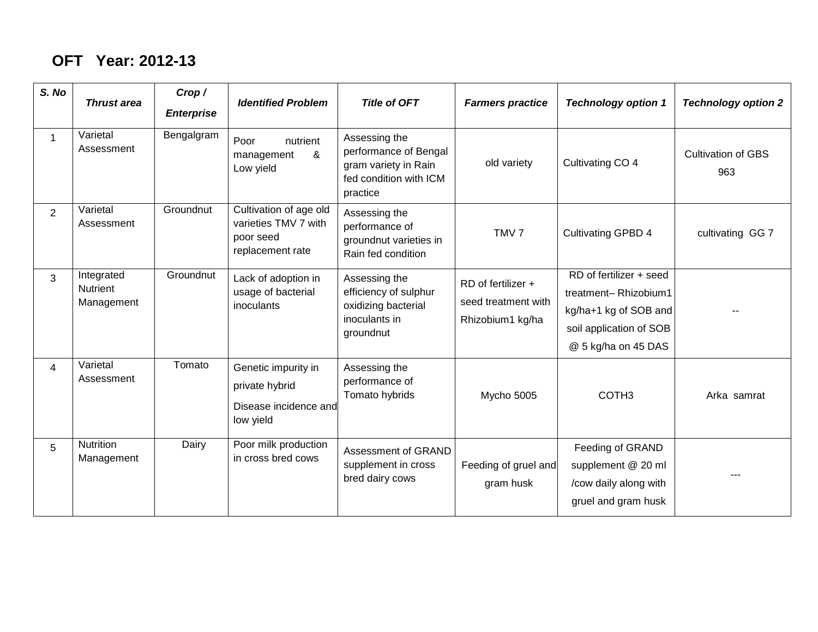## **OFT Year: 2012-13**

| S. No          | <b>Thrust area</b>                          | Crop/<br><b>Enterprise</b> | <b>Identified Problem</b>                                                       | <b>Title of OFT</b>                                                                                  | <b>Farmers practice</b>                                       | <b>Technology option 1</b>                                                                                                 | <b>Technology option 2</b>       |
|----------------|---------------------------------------------|----------------------------|---------------------------------------------------------------------------------|------------------------------------------------------------------------------------------------------|---------------------------------------------------------------|----------------------------------------------------------------------------------------------------------------------------|----------------------------------|
|                | Varietal<br>Assessment                      | Bengalgram                 | Poor<br>nutrient<br>&<br>management<br>Low yield                                | Assessing the<br>performance of Bengal<br>gram variety in Rain<br>fed condition with ICM<br>practice | old variety                                                   | Cultivating CO 4                                                                                                           | <b>Cultivation of GBS</b><br>963 |
| $\overline{2}$ | Varietal<br>Assessment                      | Groundnut                  | Cultivation of age old<br>varieties TMV 7 with<br>poor seed<br>replacement rate | Assessing the<br>performance of<br>groundnut varieties in<br>Rain fed condition                      | TMV <sub>7</sub>                                              | <b>Cultivating GPBD 4</b>                                                                                                  | cultivating GG 7                 |
| 3              | Integrated<br><b>Nutrient</b><br>Management | Groundnut                  | Lack of adoption in<br>usage of bacterial<br>inoculants                         | Assessing the<br>efficiency of sulphur<br>oxidizing bacterial<br>inoculants in<br>groundnut          | RD of fertilizer +<br>seed treatment with<br>Rhizobium1 kg/ha | RD of fertilizer + seed<br>treatment-Rhizobium1<br>kg/ha+1 kg of SOB and<br>soil application of SOB<br>@ 5 kg/ha on 45 DAS |                                  |
| $\overline{4}$ | Varietal<br>Assessment                      | Tomato                     | Genetic impurity in<br>private hybrid<br>Disease incidence and<br>low yield     | Assessing the<br>performance of<br>Tomato hybrids                                                    | Mycho 5005                                                    | COTH <sub>3</sub>                                                                                                          | Arka samrat                      |
| 5              | <b>Nutrition</b><br>Management              | Dairy                      | Poor milk production<br>in cross bred cows                                      | Assessment of GRAND<br>supplement in cross<br>bred dairy cows                                        | Feeding of gruel and<br>gram husk                             | Feeding of GRAND<br>supplement @ 20 ml<br>/cow daily along with<br>gruel and gram husk                                     |                                  |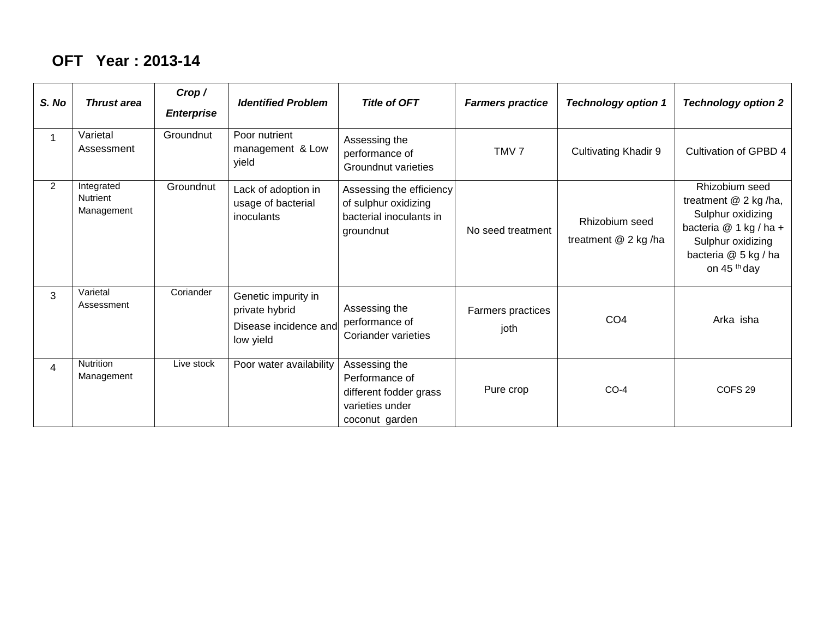#### **OFT Year : 2013-14**

| S. No          | <b>Thrust area</b>                          | Crop/<br><b>Enterprise</b> | <b>Identified Problem</b>                                                   | <b>Title of OFT</b>                                                                            | <b>Farmers practice</b>   | <b>Technology option 1</b>            | <b>Technology option 2</b>                                                                                                                                    |
|----------------|---------------------------------------------|----------------------------|-----------------------------------------------------------------------------|------------------------------------------------------------------------------------------------|---------------------------|---------------------------------------|---------------------------------------------------------------------------------------------------------------------------------------------------------------|
|                | Varietal<br>Assessment                      | Groundnut                  | Poor nutrient<br>management & Low<br>yield                                  | Assessing the<br>performance of<br><b>Groundnut varieties</b>                                  | TMV <sub>7</sub>          | <b>Cultivating Khadir 9</b>           | Cultivation of GPBD 4                                                                                                                                         |
| $\overline{2}$ | Integrated<br><b>Nutrient</b><br>Management | Groundnut                  | Lack of adoption in<br>usage of bacterial<br>inoculants                     | Assessing the efficiency<br>of sulphur oxidizing<br>bacterial inoculants in<br>groundnut       | No seed treatment         | Rhizobium seed<br>treatment @ 2 kg/ha | Rhizobium seed<br>treatment @ 2 kg/ha,<br>Sulphur oxidizing<br>bacteria @ 1 kg / ha +<br>Sulphur oxidizing<br>bacteria @ 5 kg / ha<br>on 45 <sup>th</sup> day |
| 3              | Varietal<br>Assessment                      | Coriander                  | Genetic impurity in<br>private hybrid<br>Disease incidence and<br>low yield | Assessing the<br>performance of<br>Coriander varieties                                         | Farmers practices<br>joth | CO <sub>4</sub>                       | Arka isha                                                                                                                                                     |
| 4              | <b>Nutrition</b><br>Management              | Live stock                 | Poor water availability                                                     | Assessing the<br>Performance of<br>different fodder grass<br>varieties under<br>coconut garden | Pure crop                 | $CO-4$                                | COFS <sub>29</sub>                                                                                                                                            |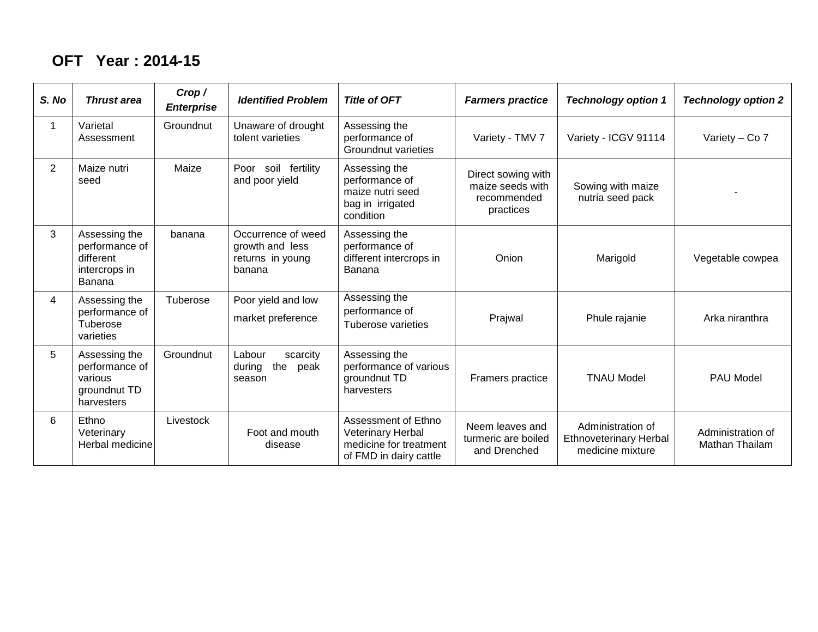#### **OFT Year : 2014-15**

| S. No          | <b>Thrust area</b>                                                       | Crop /<br><b>Enterprise</b> | <b>Identified Problem</b>                                           | <b>Title of OFT</b>                                                                          | <b>Farmers practice</b>                                            | <b>Technology option 1</b>                                             | <b>Technology option 2</b>          |
|----------------|--------------------------------------------------------------------------|-----------------------------|---------------------------------------------------------------------|----------------------------------------------------------------------------------------------|--------------------------------------------------------------------|------------------------------------------------------------------------|-------------------------------------|
|                | Varietal<br>Assessment                                                   | Groundnut                   | Unaware of drought<br>tolent varieties                              | Assessing the<br>performance of<br><b>Groundnut varieties</b>                                | Variety - TMV 7                                                    | Variety - ICGV 91114                                                   | Variety - Co 7                      |
| $\overline{2}$ | Maize nutri<br>seed                                                      | Maize                       | Poor soil fertility<br>and poor yield                               | Assessing the<br>performance of<br>maize nutri seed<br>bag in irrigated<br>condition         | Direct sowing with<br>maize seeds with<br>recommended<br>practices | Sowing with maize<br>nutria seed pack                                  |                                     |
| 3              | Assessing the<br>performance of<br>different<br>intercrops in<br>Banana  | banana                      | Occurrence of weed<br>growth and less<br>returns in young<br>banana | Assessing the<br>performance of<br>different intercrops in<br>Banana                         | Onion                                                              | Marigold                                                               | Vegetable cowpea                    |
| 4              | Assessing the<br>performance of<br>Tuberose<br>varieties                 | Tuberose                    | Poor yield and low<br>market preference                             | Assessing the<br>performance of<br><b>Tuberose varieties</b>                                 | Prajwal                                                            | Phule rajanie                                                          | Arka niranthra                      |
| 5              | Assessing the<br>performance of<br>various<br>groundnut TD<br>harvesters | Groundnut                   | Labour<br>scarcity<br>the<br>during<br>peak<br>season               | Assessing the<br>performance of various<br>groundnut TD<br>harvesters                        | Framers practice                                                   | <b>TNAU Model</b>                                                      | <b>PAU Model</b>                    |
| 6              | Ethno<br>Veterinary<br>Herbal medicine                                   | Livestock                   | Foot and mouth<br>disease                                           | Assessment of Ethno<br>Veterinary Herbal<br>medicine for treatment<br>of FMD in dairy cattle | Neem leaves and<br>turmeric are boiled<br>and Drenched             | Administration of<br><b>Ethnoveterinary Herbal</b><br>medicine mixture | Administration of<br>Mathan Thailam |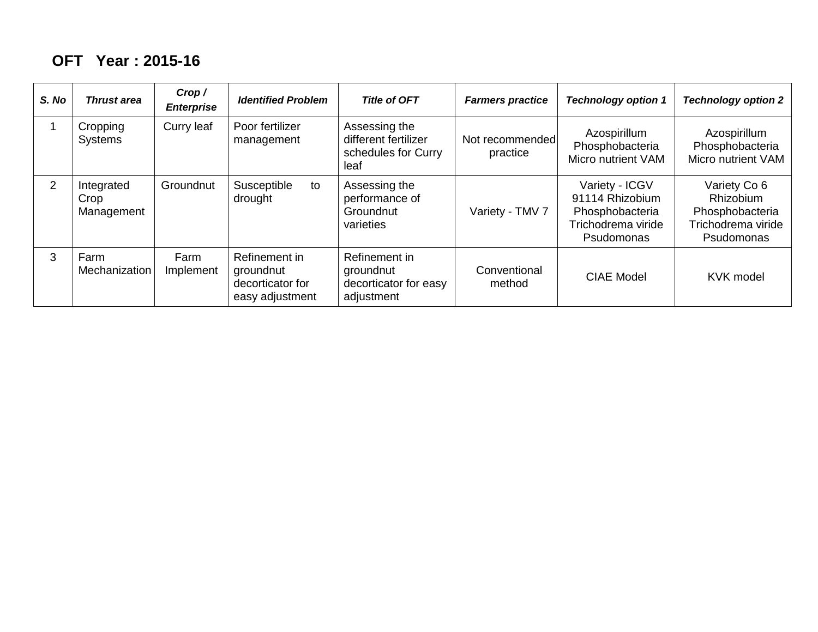### **OFT Year : 2015-16**

| S. No          | <b>Thrust area</b>               | Crop /<br><b>Enterprise</b> | <b>Identified Problem</b>                                         | <b>Title of OFT</b>                                                  | <b>Farmers practice</b>     | <b>Technology option 1</b>                                                               | <b>Technology option 2</b>                                                              |
|----------------|----------------------------------|-----------------------------|-------------------------------------------------------------------|----------------------------------------------------------------------|-----------------------------|------------------------------------------------------------------------------------------|-----------------------------------------------------------------------------------------|
|                | Cropping<br><b>Systems</b>       | Curry leaf                  | Poor fertilizer<br>management                                     | Assessing the<br>different fertilizer<br>schedules for Curry<br>leaf | Not recommended<br>practice | Azospirillum<br>Phosphobacteria<br>Micro nutrient VAM                                    | Azospirillum<br>Phosphobacteria<br>Micro nutrient VAM                                   |
| $\overline{2}$ | Integrated<br>Crop<br>Management | Groundnut                   | Susceptible<br>to<br>drought                                      | Assessing the<br>performance of<br>Groundnut<br>varieties            | Variety - TMV 7             | Variety - ICGV<br>91114 Rhizobium<br>Phosphobacteria<br>Trichodrema viride<br>Psudomonas | Variety Co 6<br><b>Rhizobium</b><br>Phosphobacteria<br>Trichodrema viride<br>Psudomonas |
| 3              | Farm<br>Mechanization            | Farm<br>Implement           | Refinement in<br>groundnut<br>decorticator for<br>easy adjustment | Refinement in<br>groundnut<br>decorticator for easy<br>adjustment    | Conventional<br>method      | <b>CIAE Model</b>                                                                        | <b>KVK</b> model                                                                        |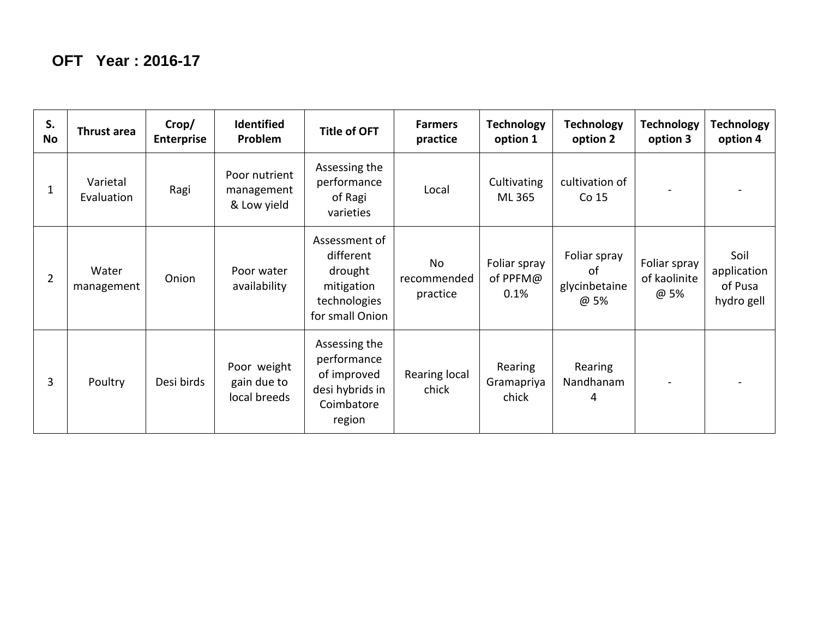| S.<br><b>No</b> | Thrust area            | Crop/<br><b>Enterprise</b> | <b>Identified</b><br>Problem               | <b>Title of OFT</b>                                                                    | <b>Farmers</b><br>practice    | <b>Technology</b><br>option 1    | <b>Technology</b><br>option 2               | <b>Technology</b><br>option 3        | Technology<br>option 4                       |
|-----------------|------------------------|----------------------------|--------------------------------------------|----------------------------------------------------------------------------------------|-------------------------------|----------------------------------|---------------------------------------------|--------------------------------------|----------------------------------------------|
| 1               | Varietal<br>Evaluation | Ragi                       | Poor nutrient<br>management<br>& Low yield | Assessing the<br>performance<br>of Ragi<br>varieties                                   | Local                         | Cultivating<br>ML 365            | cultivation of<br>Co 15                     |                                      |                                              |
| $\overline{2}$  | Water<br>management    | Onion                      | Poor water<br>availability                 | Assessment of<br>different<br>drought<br>mitigation<br>technologies<br>for small Onion | No<br>recommended<br>practice | Foliar spray<br>of PPFM@<br>0.1% | Foliar spray<br>of<br>glycinbetaine<br>@ 5% | Foliar spray<br>of kaolinite<br>@ 5% | Soil<br>application<br>of Pusa<br>hydro gell |
| 3               | Poultry                | Desi birds                 | Poor weight<br>gain due to<br>local breeds | Assessing the<br>performance<br>of improved<br>desi hybrids in<br>Coimbatore<br>region | Rearing local<br>chick        | Rearing<br>Gramapriya<br>chick   | Rearing<br>Nandhanam<br>4                   |                                      |                                              |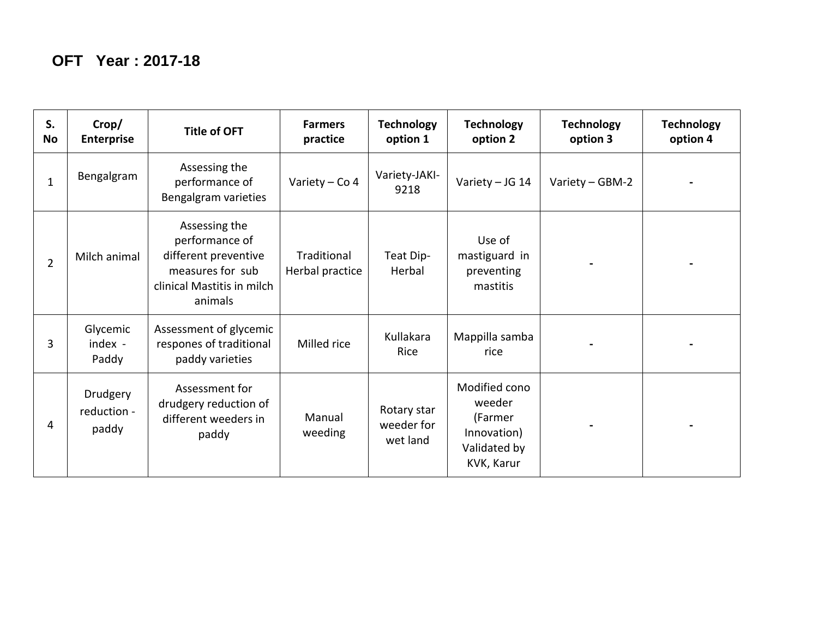| S.<br><b>No</b> | Crop/<br><b>Enterprise</b>       | <b>Title of OFT</b>                                                                                                  | <b>Farmers</b><br>practice     | <b>Technology</b><br>option 1         | <b>Technology</b><br>option 2                                                   | <b>Technology</b><br>option 3 | <b>Technology</b><br>option 4 |
|-----------------|----------------------------------|----------------------------------------------------------------------------------------------------------------------|--------------------------------|---------------------------------------|---------------------------------------------------------------------------------|-------------------------------|-------------------------------|
| $\mathbf{1}$    | Bengalgram                       | Assessing the<br>performance of<br>Bengalgram varieties                                                              | Variety - Co 4                 | Variety-JAKI-<br>9218                 | Variety - JG 14                                                                 | Variety - GBM-2               |                               |
| $\overline{2}$  | Milch animal                     | Assessing the<br>performance of<br>different preventive<br>measures for sub<br>clinical Mastitis in milch<br>animals | Traditional<br>Herbal practice | Teat Dip-<br>Herbal                   | Use of<br>mastiguard in<br>preventing<br>mastitis                               |                               |                               |
| 3               | Glycemic<br>index -<br>Paddy     | Assessment of glycemic<br>respones of traditional<br>paddy varieties                                                 | Milled rice                    | Kullakara<br>Rice                     | Mappilla samba<br>rice                                                          |                               |                               |
| 4               | Drudgery<br>reduction -<br>paddy | Assessment for<br>drudgery reduction of<br>different weeders in<br>paddy                                             | Manual<br>weeding              | Rotary star<br>weeder for<br>wet land | Modified cono<br>weeder<br>(Farmer<br>Innovation)<br>Validated by<br>KVK, Karur |                               |                               |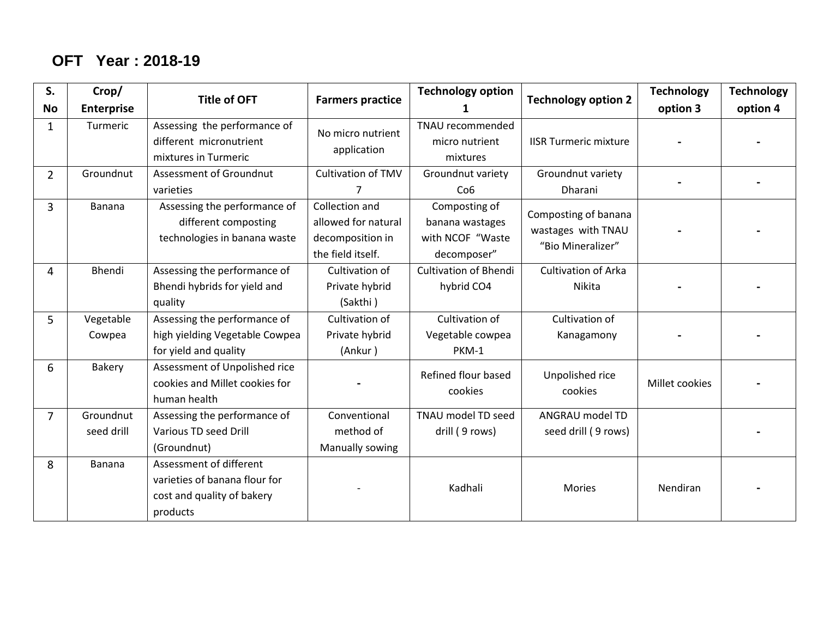## **OFT Year : 2018-19**

| S.             | Crop/                   | <b>Title of OFT</b>                                                                                | <b>Technology option</b><br><b>Farmers practice</b><br>1                       |                                                                     |                                                                 | <b>Technology</b> | <b>Technology</b> |
|----------------|-------------------------|----------------------------------------------------------------------------------------------------|--------------------------------------------------------------------------------|---------------------------------------------------------------------|-----------------------------------------------------------------|-------------------|-------------------|
| <b>No</b>      | <b>Enterprise</b>       |                                                                                                    |                                                                                |                                                                     | <b>Technology option 2</b>                                      | option 3          | option 4          |
| $\mathbf{1}$   | Turmeric                | Assessing the performance of<br>different micronutrient<br>mixtures in Turmeric                    | No micro nutrient<br>application                                               | TNAU recommended<br>micro nutrient<br>mixtures                      | <b>IISR Turmeric mixture</b>                                    |                   |                   |
| $\overline{2}$ | Groundnut               | <b>Assessment of Groundnut</b><br>varieties                                                        | <b>Cultivation of TMV</b><br>7                                                 | Groundnut variety<br>Co6                                            | Groundnut variety<br>Dharani                                    |                   |                   |
| 3              | <b>Banana</b>           | Assessing the performance of<br>different composting<br>technologies in banana waste               | Collection and<br>allowed for natural<br>decomposition in<br>the field itself. | Composting of<br>banana wastages<br>with NCOF "Waste<br>decomposer" | Composting of banana<br>wastages with TNAU<br>"Bio Mineralizer" |                   |                   |
| 4              | Bhendi                  | Assessing the performance of<br>Bhendi hybrids for yield and<br>quality                            | Cultivation of<br>Private hybrid<br>(Sakthi)                                   | <b>Cultivation of Bhendi</b><br>hybrid CO4                          | <b>Cultivation of Arka</b><br>Nikita                            |                   |                   |
| 5              | Vegetable<br>Cowpea     | Assessing the performance of<br>high yielding Vegetable Cowpea<br>for yield and quality            | Cultivation of<br>Private hybrid<br>(Ankur)                                    | Cultivation of<br>Vegetable cowpea<br>PKM-1                         | Cultivation of<br>Kanagamony                                    |                   |                   |
| 6              | <b>Bakery</b>           | Assessment of Unpolished rice<br>cookies and Millet cookies for<br>human health                    |                                                                                | Refined flour based<br>cookies                                      | Unpolished rice<br>cookies                                      | Millet cookies    |                   |
| $\overline{7}$ | Groundnut<br>seed drill | Assessing the performance of<br><b>Various TD seed Drill</b><br>(Groundnut)                        | Conventional<br>method of<br>Manually sowing                                   | TNAU model TD seed<br>drill (9 rows)                                | ANGRAU model TD<br>seed drill (9 rows)                          |                   |                   |
| 8              | <b>Banana</b>           | Assessment of different<br>varieties of banana flour for<br>cost and quality of bakery<br>products |                                                                                | Kadhali                                                             | <b>Mories</b>                                                   | Nendiran          |                   |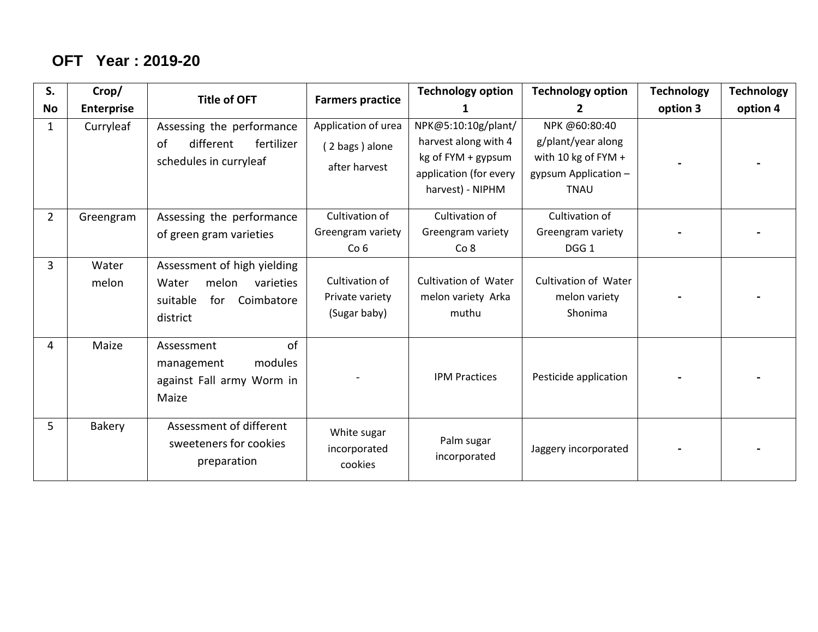## **OFT Year : 2019-20**

| S.             | Crop/             | <b>Title of OFT</b>                                                                                     | <b>Farmers practice</b>                                | <b>Technology option</b>                                                                                        | <b>Technology option</b>                                                                            | <b>Technology</b> | <b>Technology</b> |
|----------------|-------------------|---------------------------------------------------------------------------------------------------------|--------------------------------------------------------|-----------------------------------------------------------------------------------------------------------------|-----------------------------------------------------------------------------------------------------|-------------------|-------------------|
| No             | <b>Enterprise</b> |                                                                                                         |                                                        | 1                                                                                                               | $\mathbf{2}$                                                                                        | option 3          | option 4          |
| 1              | Curryleaf         | Assessing the performance<br>different<br>fertilizer<br>of<br>schedules in curryleaf                    | Application of urea<br>(2 bags) alone<br>after harvest | NPK@5:10:10g/plant/<br>harvest along with 4<br>kg of FYM + gypsum<br>application (for every<br>harvest) - NIPHM | NPK @60:80:40<br>g/plant/year along<br>with 10 kg of FYM $+$<br>gypsum Application -<br><b>TNAU</b> |                   |                   |
| $\overline{2}$ | Greengram         | Assessing the performance<br>of green gram varieties                                                    | Cultivation of<br>Greengram variety<br>Co <sub>6</sub> | Cultivation of<br>Greengram variety<br>Co 8                                                                     | Cultivation of<br>Greengram variety<br>DGG <sub>1</sub>                                             |                   |                   |
| 3              | Water<br>melon    | Assessment of high yielding<br>melon<br>varieties<br>Water<br>for<br>Coimbatore<br>suitable<br>district | Cultivation of<br>Private variety<br>(Sugar baby)      | <b>Cultivation of Water</b><br>melon variety Arka<br>muthu                                                      | Cultivation of Water<br>melon variety<br>Shonima                                                    |                   |                   |
| 4              | Maize             | of<br>Assessment<br>modules<br>management<br>against Fall army Worm in<br>Maize                         |                                                        | <b>IPM Practices</b>                                                                                            | Pesticide application                                                                               |                   |                   |
| 5              | Bakery            | Assessment of different<br>sweeteners for cookies<br>preparation                                        | White sugar<br>incorporated<br>cookies                 | Palm sugar<br>incorporated                                                                                      | Jaggery incorporated                                                                                |                   |                   |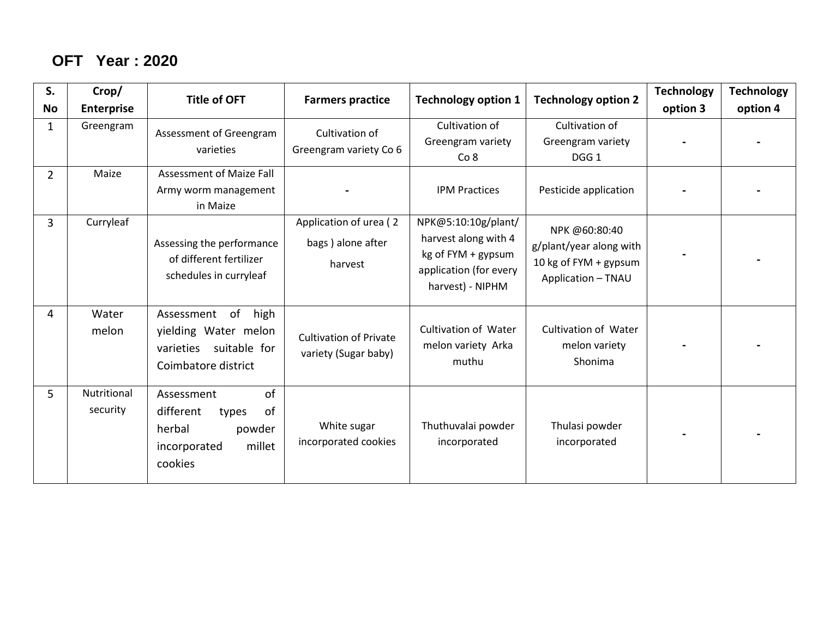### **OFT Year : 2020**

| S.             | Crop/                   | <b>Title of OFT</b>                                                                                   | <b>Farmers practice</b>                                | <b>Technology option 1</b>                                                                                      | <b>Technology option 2</b>                                                              | <b>Technology</b> | <b>Technology</b> |
|----------------|-------------------------|-------------------------------------------------------------------------------------------------------|--------------------------------------------------------|-----------------------------------------------------------------------------------------------------------------|-----------------------------------------------------------------------------------------|-------------------|-------------------|
| <b>No</b>      | <b>Enterprise</b>       |                                                                                                       |                                                        |                                                                                                                 |                                                                                         | option 3          | option 4          |
| 1              | Greengram               | Assessment of Greengram<br>varieties                                                                  | Cultivation of<br>Greengram variety Co 6               | Cultivation of<br>Greengram variety<br>Co <sub>8</sub>                                                          | Cultivation of<br>Greengram variety<br>DGG <sub>1</sub>                                 |                   |                   |
| $\overline{2}$ | Maize                   | <b>Assessment of Maize Fall</b><br>Army worm management<br>in Maize                                   |                                                        | <b>IPM Practices</b>                                                                                            | Pesticide application                                                                   |                   |                   |
| $\overline{3}$ | Curryleaf               | Assessing the performance<br>of different fertilizer<br>schedules in curryleaf                        | Application of urea (2<br>bags) alone after<br>harvest | NPK@5:10:10g/plant/<br>harvest along with 4<br>kg of FYM + gypsum<br>application (for every<br>harvest) - NIPHM | NPK @60:80:40<br>g/plant/year along with<br>10 kg of FYM + gypsum<br>Application - TNAU |                   |                   |
| 4              | Water<br>melon          | of<br>high<br>Assessment<br>yielding Water melon<br>suitable for<br>varieties<br>Coimbatore district  | <b>Cultivation of Private</b><br>variety (Sugar baby)  | <b>Cultivation of Water</b><br>melon variety Arka<br>muthu                                                      | <b>Cultivation of Water</b><br>melon variety<br>Shonima                                 |                   |                   |
| 5              | Nutritional<br>security | of<br>Assessment<br>different<br>of<br>types<br>herbal<br>powder<br>millet<br>incorporated<br>cookies | White sugar<br>incorporated cookies                    | Thuthuvalai powder<br>incorporated                                                                              | Thulasi powder<br>incorporated                                                          |                   |                   |